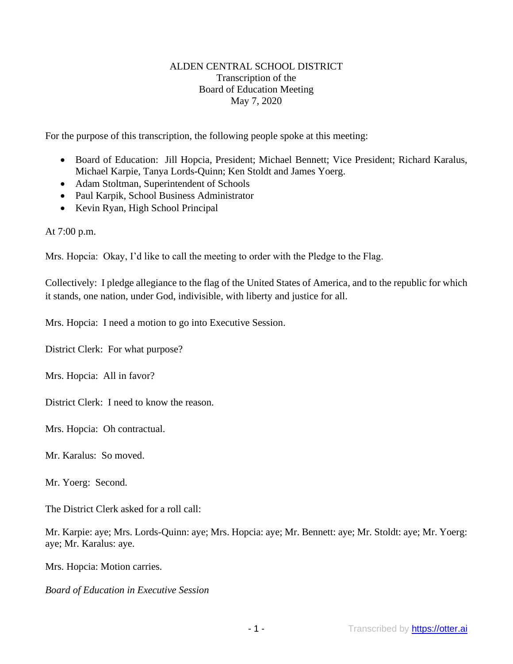### ALDEN CENTRAL SCHOOL DISTRICT Transcription of the Board of Education Meeting May 7, 2020

For the purpose of this transcription, the following people spoke at this meeting:

- Board of Education: Jill Hopcia, President; Michael Bennett; Vice President; Richard Karalus, Michael Karpie, Tanya Lords-Quinn; Ken Stoldt and James Yoerg.
- Adam Stoltman, Superintendent of Schools
- Paul Karpik, School Business Administrator
- Kevin Ryan, High School Principal

At 7:00 p.m.

Mrs. Hopcia: Okay, I'd like to call the meeting to order with the Pledge to the Flag.

Collectively: I pledge allegiance to the flag of the United States of America, and to the republic for which it stands, one nation, under God, indivisible, with liberty and justice for all.

Mrs. Hopcia: I need a motion to go into Executive Session.

District Clerk: For what purpose?

Mrs. Hopcia: All in favor?

District Clerk: I need to know the reason.

Mrs. Hopcia: Oh contractual.

Mr. Karalus: So moved.

Mr. Yoerg: Second.

The District Clerk asked for a roll call:

Mr. Karpie: aye; Mrs. Lords-Quinn: aye; Mrs. Hopcia: aye; Mr. Bennett: aye; Mr. Stoldt: aye; Mr. Yoerg: aye; Mr. Karalus: aye.

Mrs. Hopcia: Motion carries.

#### *Board of Education in Executive Session*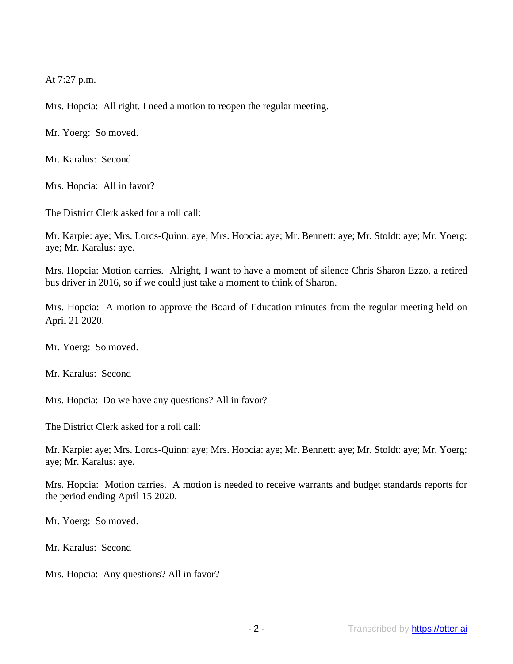At 7:27 p.m.

Mrs. Hopcia: All right. I need a motion to reopen the regular meeting.

Mr. Yoerg: So moved.

Mr. Karalus: Second

Mrs. Hopcia: All in favor?

The District Clerk asked for a roll call:

Mr. Karpie: aye; Mrs. Lords-Quinn: aye; Mrs. Hopcia: aye; Mr. Bennett: aye; Mr. Stoldt: aye; Mr. Yoerg: aye; Mr. Karalus: aye.

Mrs. Hopcia: Motion carries. Alright, I want to have a moment of silence Chris Sharon Ezzo, a retired bus driver in 2016, so if we could just take a moment to think of Sharon.

Mrs. Hopcia: A motion to approve the Board of Education minutes from the regular meeting held on April 21 2020.

Mr. Yoerg: So moved.

Mr. Karalus: Second

Mrs. Hopcia: Do we have any questions? All in favor?

The District Clerk asked for a roll call:

Mr. Karpie: aye; Mrs. Lords-Quinn: aye; Mrs. Hopcia: aye; Mr. Bennett: aye; Mr. Stoldt: aye; Mr. Yoerg: aye; Mr. Karalus: aye.

Mrs. Hopcia: Motion carries. A motion is needed to receive warrants and budget standards reports for the period ending April 15 2020.

Mr. Yoerg: So moved.

Mr. Karalus: Second

Mrs. Hopcia: Any questions? All in favor?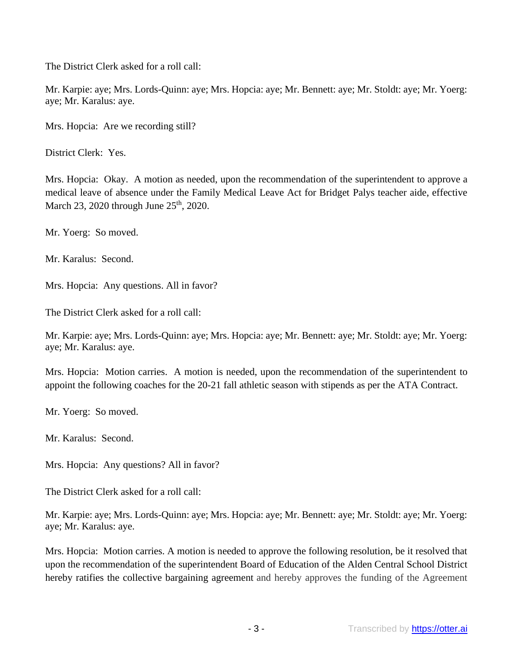The District Clerk asked for a roll call:

Mr. Karpie: aye; Mrs. Lords-Quinn: aye; Mrs. Hopcia: aye; Mr. Bennett: aye; Mr. Stoldt: aye; Mr. Yoerg: aye; Mr. Karalus: aye.

Mrs. Hopcia: Are we recording still?

District Clerk: Yes.

Mrs. Hopcia: Okay. A motion as needed, upon the recommendation of the superintendent to approve a medical leave of absence under the Family Medical Leave Act for Bridget Palys teacher aide, effective March 23, 2020 through June 25<sup>th</sup>, 2020.

Mr. Yoerg: So moved.

Mr. Karalus: Second.

Mrs. Hopcia: Any questions. All in favor?

The District Clerk asked for a roll call:

Mr. Karpie: aye; Mrs. Lords-Quinn: aye; Mrs. Hopcia: aye; Mr. Bennett: aye; Mr. Stoldt: aye; Mr. Yoerg: aye; Mr. Karalus: aye.

Mrs. Hopcia: Motion carries. A motion is needed, upon the recommendation of the superintendent to appoint the following coaches for the 20-21 fall athletic season with stipends as per the ATA Contract.

Mr. Yoerg: So moved.

Mr. Karalus: Second.

Mrs. Hopcia: Any questions? All in favor?

The District Clerk asked for a roll call:

Mr. Karpie: aye; Mrs. Lords-Quinn: aye; Mrs. Hopcia: aye; Mr. Bennett: aye; Mr. Stoldt: aye; Mr. Yoerg: aye; Mr. Karalus: aye.

Mrs. Hopcia: Motion carries. A motion is needed to approve the following resolution, be it resolved that upon the recommendation of the superintendent Board of Education of the Alden Central School District hereby ratifies the collective bargaining agreement and hereby approves the funding of the Agreement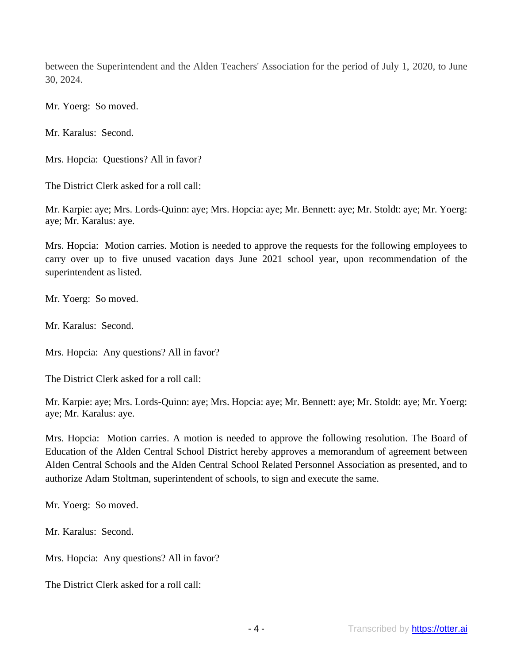between the Superintendent and the Alden Teachers' Association for the period of July 1, 2020, to June 30, 2024.

Mr. Yoerg: So moved.

Mr. Karalus: Second.

Mrs. Hopcia: Questions? All in favor?

The District Clerk asked for a roll call:

Mr. Karpie: aye; Mrs. Lords-Quinn: aye; Mrs. Hopcia: aye; Mr. Bennett: aye; Mr. Stoldt: aye; Mr. Yoerg: aye; Mr. Karalus: aye.

Mrs. Hopcia: Motion carries. Motion is needed to approve the requests for the following employees to carry over up to five unused vacation days June 2021 school year, upon recommendation of the superintendent as listed.

Mr. Yoerg: So moved.

Mr. Karalus: Second.

Mrs. Hopcia: Any questions? All in favor?

The District Clerk asked for a roll call:

Mr. Karpie: aye; Mrs. Lords-Quinn: aye; Mrs. Hopcia: aye; Mr. Bennett: aye; Mr. Stoldt: aye; Mr. Yoerg: aye; Mr. Karalus: aye.

Mrs. Hopcia: Motion carries. A motion is needed to approve the following resolution. The Board of Education of the Alden Central School District hereby approves a memorandum of agreement between Alden Central Schools and the Alden Central School Related Personnel Association as presented, and to authorize Adam Stoltman, superintendent of schools, to sign and execute the same.

Mr. Yoerg: So moved.

Mr. Karalus: Second.

Mrs. Hopcia: Any questions? All in favor?

The District Clerk asked for a roll call: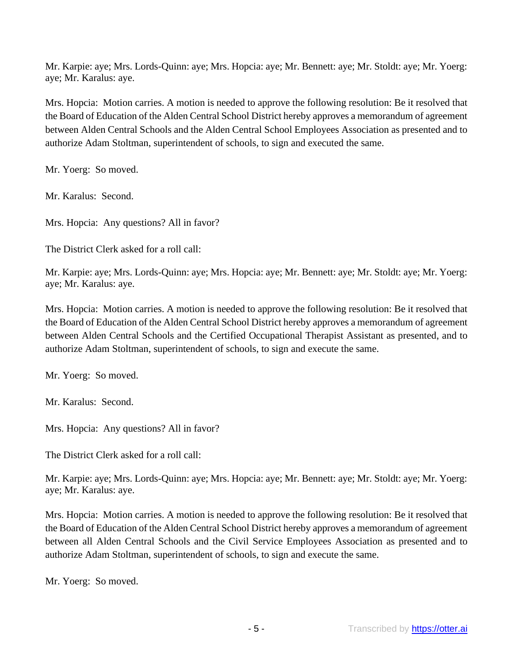Mr. Karpie: aye; Mrs. Lords-Quinn: aye; Mrs. Hopcia: aye; Mr. Bennett: aye; Mr. Stoldt: aye; Mr. Yoerg: aye; Mr. Karalus: aye.

Mrs. Hopcia: Motion carries. A motion is needed to approve the following resolution: Be it resolved that the Board of Education of the Alden Central School District hereby approves a memorandum of agreement between Alden Central Schools and the Alden Central School Employees Association as presented and to authorize Adam Stoltman, superintendent of schools, to sign and executed the same.

Mr. Yoerg: So moved.

Mr. Karalus: Second.

Mrs. Hopcia: Any questions? All in favor?

The District Clerk asked for a roll call:

Mr. Karpie: aye; Mrs. Lords-Quinn: aye; Mrs. Hopcia: aye; Mr. Bennett: aye; Mr. Stoldt: aye; Mr. Yoerg: aye; Mr. Karalus: aye.

Mrs. Hopcia: Motion carries. A motion is needed to approve the following resolution: Be it resolved that the Board of Education of the Alden Central School District hereby approves a memorandum of agreement between Alden Central Schools and the Certified Occupational Therapist Assistant as presented, and to authorize Adam Stoltman, superintendent of schools, to sign and execute the same.

Mr. Yoerg: So moved.

Mr. Karalus: Second.

Mrs. Hopcia: Any questions? All in favor?

The District Clerk asked for a roll call:

Mr. Karpie: aye; Mrs. Lords-Quinn: aye; Mrs. Hopcia: aye; Mr. Bennett: aye; Mr. Stoldt: aye; Mr. Yoerg: aye; Mr. Karalus: aye.

Mrs. Hopcia: Motion carries. A motion is needed to approve the following resolution: Be it resolved that the Board of Education of the Alden Central School District hereby approves a memorandum of agreement between all Alden Central Schools and the Civil Service Employees Association as presented and to authorize Adam Stoltman, superintendent of schools, to sign and execute the same.

Mr. Yoerg: So moved.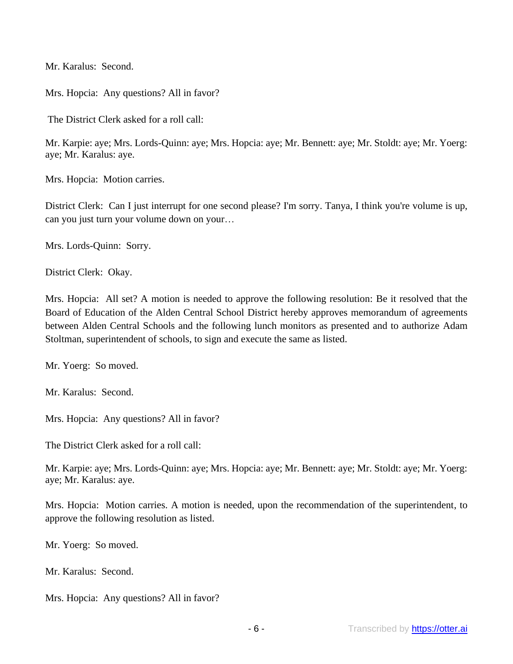Mr. Karalus: Second.

Mrs. Hopcia: Any questions? All in favor?

The District Clerk asked for a roll call:

Mr. Karpie: aye; Mrs. Lords-Quinn: aye; Mrs. Hopcia: aye; Mr. Bennett: aye; Mr. Stoldt: aye; Mr. Yoerg: aye; Mr. Karalus: aye.

Mrs. Hopcia: Motion carries.

District Clerk: Can I just interrupt for one second please? I'm sorry. Tanya, I think you're volume is up, can you just turn your volume down on your…

Mrs. Lords-Quinn: Sorry.

District Clerk: Okay.

Mrs. Hopcia: All set? A motion is needed to approve the following resolution: Be it resolved that the Board of Education of the Alden Central School District hereby approves memorandum of agreements between Alden Central Schools and the following lunch monitors as presented and to authorize Adam Stoltman, superintendent of schools, to sign and execute the same as listed.

Mr. Yoerg: So moved.

Mr. Karalus: Second.

Mrs. Hopcia: Any questions? All in favor?

The District Clerk asked for a roll call:

Mr. Karpie: aye; Mrs. Lords-Quinn: aye; Mrs. Hopcia: aye; Mr. Bennett: aye; Mr. Stoldt: aye; Mr. Yoerg: aye; Mr. Karalus: aye.

Mrs. Hopcia: Motion carries. A motion is needed, upon the recommendation of the superintendent, to approve the following resolution as listed.

Mr. Yoerg: So moved.

Mr. Karalus: Second.

Mrs. Hopcia: Any questions? All in favor?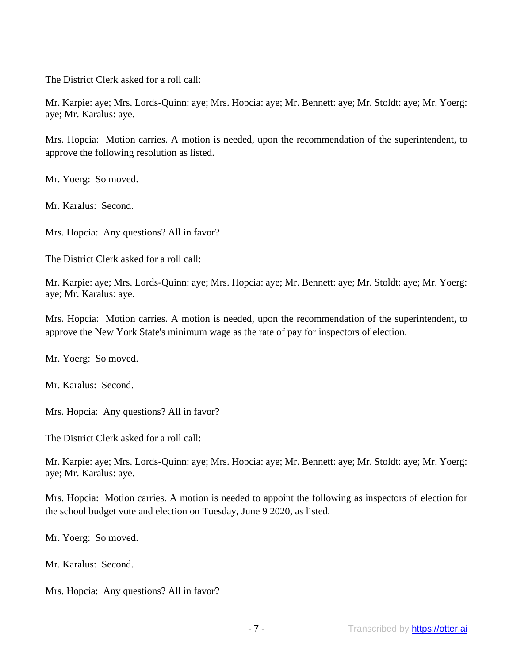The District Clerk asked for a roll call:

Mr. Karpie: aye; Mrs. Lords-Quinn: aye; Mrs. Hopcia: aye; Mr. Bennett: aye; Mr. Stoldt: aye; Mr. Yoerg: aye; Mr. Karalus: aye.

Mrs. Hopcia: Motion carries. A motion is needed, upon the recommendation of the superintendent, to approve the following resolution as listed.

Mr. Yoerg: So moved.

Mr. Karalus: Second.

Mrs. Hopcia: Any questions? All in favor?

The District Clerk asked for a roll call:

Mr. Karpie: aye; Mrs. Lords-Quinn: aye; Mrs. Hopcia: aye; Mr. Bennett: aye; Mr. Stoldt: aye; Mr. Yoerg: aye; Mr. Karalus: aye.

Mrs. Hopcia: Motion carries. A motion is needed, upon the recommendation of the superintendent, to approve the New York State's minimum wage as the rate of pay for inspectors of election.

Mr. Yoerg: So moved.

Mr. Karalus: Second.

Mrs. Hopcia: Any questions? All in favor?

The District Clerk asked for a roll call:

Mr. Karpie: aye; Mrs. Lords-Quinn: aye; Mrs. Hopcia: aye; Mr. Bennett: aye; Mr. Stoldt: aye; Mr. Yoerg: aye; Mr. Karalus: aye.

Mrs. Hopcia: Motion carries. A motion is needed to appoint the following as inspectors of election for the school budget vote and election on Tuesday, June 9 2020, as listed.

Mr. Yoerg: So moved.

Mr. Karalus: Second.

Mrs. Hopcia: Any questions? All in favor?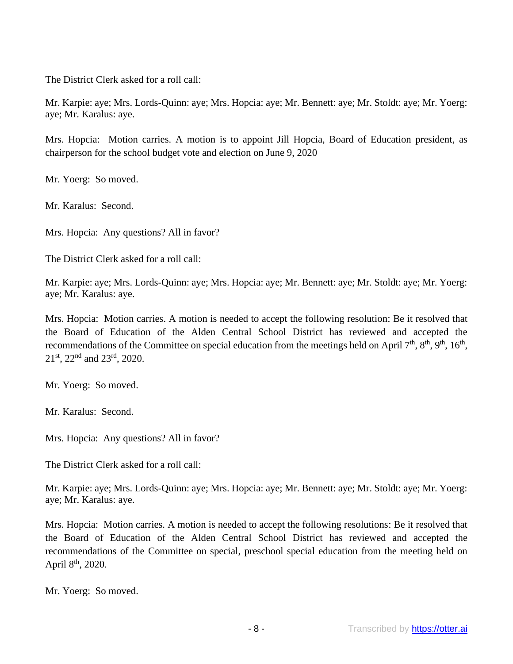The District Clerk asked for a roll call:

Mr. Karpie: aye; Mrs. Lords-Quinn: aye; Mrs. Hopcia: aye; Mr. Bennett: aye; Mr. Stoldt: aye; Mr. Yoerg: aye; Mr. Karalus: aye.

Mrs. Hopcia: Motion carries. A motion is to appoint Jill Hopcia, Board of Education president, as chairperson for the school budget vote and election on June 9, 2020

Mr. Yoerg: So moved.

Mr. Karalus: Second.

Mrs. Hopcia: Any questions? All in favor?

The District Clerk asked for a roll call:

Mr. Karpie: aye; Mrs. Lords-Quinn: aye; Mrs. Hopcia: aye; Mr. Bennett: aye; Mr. Stoldt: aye; Mr. Yoerg: aye; Mr. Karalus: aye.

Mrs. Hopcia: Motion carries. A motion is needed to accept the following resolution: Be it resolved that the Board of Education of the Alden Central School District has reviewed and accepted the recommendations of the Committee on special education from the meetings held on April  $7<sup>th</sup>$ ,  $8<sup>th</sup>$ ,  $9<sup>th</sup>$ ,  $16<sup>th</sup>$ ,  $21<sup>st</sup>$ ,  $22<sup>nd</sup>$  and  $23<sup>rd</sup>$ ,  $2020$ .

Mr. Yoerg: So moved.

Mr. Karalus: Second.

Mrs. Hopcia: Any questions? All in favor?

The District Clerk asked for a roll call:

Mr. Karpie: aye; Mrs. Lords-Quinn: aye; Mrs. Hopcia: aye; Mr. Bennett: aye; Mr. Stoldt: aye; Mr. Yoerg: aye; Mr. Karalus: aye.

Mrs. Hopcia: Motion carries. A motion is needed to accept the following resolutions: Be it resolved that the Board of Education of the Alden Central School District has reviewed and accepted the recommendations of the Committee on special, preschool special education from the meeting held on April 8<sup>th</sup>, 2020.

Mr. Yoerg: So moved.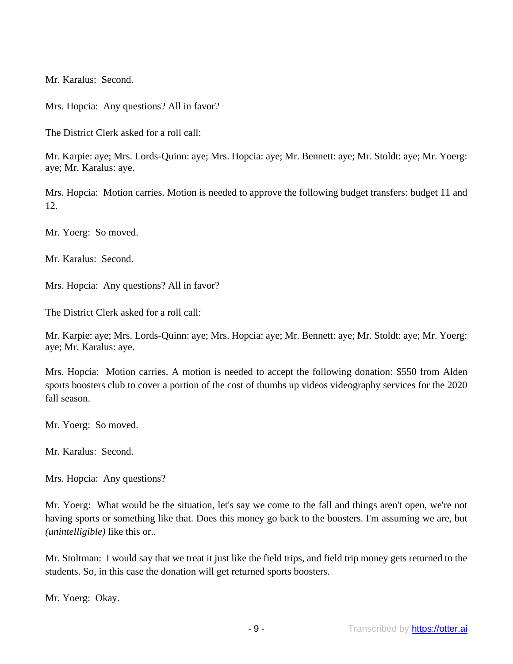Mr. Karalus: Second.

Mrs. Hopcia: Any questions? All in favor?

The District Clerk asked for a roll call:

Mr. Karpie: aye; Mrs. Lords-Quinn: aye; Mrs. Hopcia: aye; Mr. Bennett: aye; Mr. Stoldt: aye; Mr. Yoerg: aye; Mr. Karalus: aye.

Mrs. Hopcia: Motion carries. Motion is needed to approve the following budget transfers: budget 11 and 12.

Mr. Yoerg: So moved.

Mr. Karalus: Second.

Mrs. Hopcia: Any questions? All in favor?

The District Clerk asked for a roll call:

Mr. Karpie: aye; Mrs. Lords-Quinn: aye; Mrs. Hopcia: aye; Mr. Bennett: aye; Mr. Stoldt: aye; Mr. Yoerg: aye; Mr. Karalus: aye.

Mrs. Hopcia: Motion carries. A motion is needed to accept the following donation: \$550 from Alden sports boosters club to cover a portion of the cost of thumbs up videos videography services for the 2020 fall season.

Mr. Yoerg: So moved.

Mr. Karalus: Second.

Mrs. Hopcia: Any questions?

Mr. Yoerg: What would be the situation, let's say we come to the fall and things aren't open, we're not having sports or something like that. Does this money go back to the boosters. I'm assuming we are, but *(unintelligible)* like this or..

Mr. Stoltman: I would say that we treat it just like the field trips, and field trip money gets returned to the students. So, in this case the donation will get returned sports boosters.

Mr. Yoerg: Okay.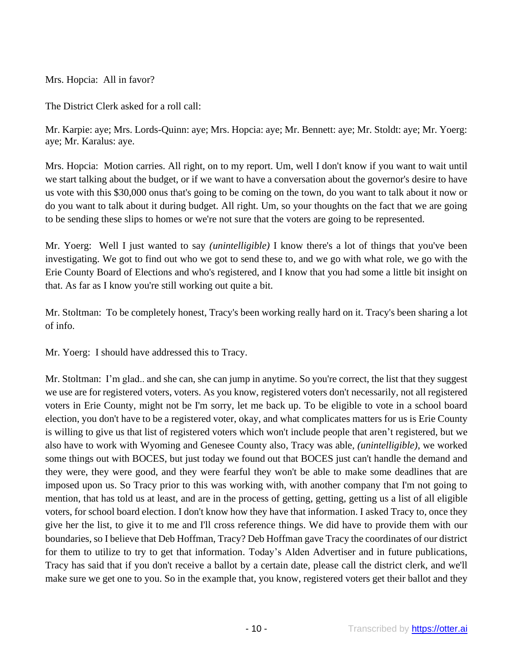Mrs. Hopcia: All in favor?

The District Clerk asked for a roll call:

Mr. Karpie: aye; Mrs. Lords-Quinn: aye; Mrs. Hopcia: aye; Mr. Bennett: aye; Mr. Stoldt: aye; Mr. Yoerg: aye; Mr. Karalus: aye.

Mrs. Hopcia: Motion carries. All right, on to my report. Um, well I don't know if you want to wait until we start talking about the budget, or if we want to have a conversation about the governor's desire to have us vote with this \$30,000 onus that's going to be coming on the town, do you want to talk about it now or do you want to talk about it during budget. All right. Um, so your thoughts on the fact that we are going to be sending these slips to homes or we're not sure that the voters are going to be represented.

Mr. Yoerg: Well I just wanted to say *(unintelligible)* I know there's a lot of things that you've been investigating. We got to find out who we got to send these to, and we go with what role, we go with the Erie County Board of Elections and who's registered, and I know that you had some a little bit insight on that. As far as I know you're still working out quite a bit.

Mr. Stoltman: To be completely honest, Tracy's been working really hard on it. Tracy's been sharing a lot of info.

Mr. Yoerg: I should have addressed this to Tracy.

Mr. Stoltman: I'm glad.. and she can, she can jump in anytime. So you're correct, the list that they suggest we use are for registered voters, voters. As you know, registered voters don't necessarily, not all registered voters in Erie County, might not be I'm sorry, let me back up. To be eligible to vote in a school board election, you don't have to be a registered voter, okay, and what complicates matters for us is Erie County is willing to give us that list of registered voters which won't include people that aren't registered, but we also have to work with Wyoming and Genesee County also, Tracy was able, *(unintelligible)*, we worked some things out with BOCES, but just today we found out that BOCES just can't handle the demand and they were, they were good, and they were fearful they won't be able to make some deadlines that are imposed upon us. So Tracy prior to this was working with, with another company that I'm not going to mention, that has told us at least, and are in the process of getting, getting, getting us a list of all eligible voters, for school board election. I don't know how they have that information. I asked Tracy to, once they give her the list, to give it to me and I'll cross reference things. We did have to provide them with our boundaries, so I believe that Deb Hoffman, Tracy? Deb Hoffman gave Tracy the coordinates of our district for them to utilize to try to get that information. Today's Alden Advertiser and in future publications, Tracy has said that if you don't receive a ballot by a certain date, please call the district clerk, and we'll make sure we get one to you. So in the example that, you know, registered voters get their ballot and they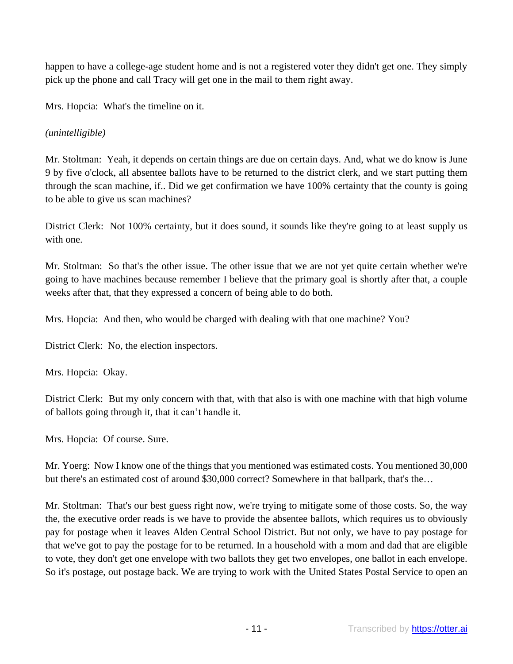happen to have a college-age student home and is not a registered voter they didn't get one. They simply pick up the phone and call Tracy will get one in the mail to them right away.

Mrs. Hopcia: What's the timeline on it.

## *(unintelligible)*

Mr. Stoltman: Yeah, it depends on certain things are due on certain days. And, what we do know is June 9 by five o'clock, all absentee ballots have to be returned to the district clerk, and we start putting them through the scan machine, if.. Did we get confirmation we have 100% certainty that the county is going to be able to give us scan machines?

District Clerk: Not 100% certainty, but it does sound, it sounds like they're going to at least supply us with one.

Mr. Stoltman: So that's the other issue. The other issue that we are not yet quite certain whether we're going to have machines because remember I believe that the primary goal is shortly after that, a couple weeks after that, that they expressed a concern of being able to do both.

Mrs. Hopcia: And then, who would be charged with dealing with that one machine? You?

District Clerk: No, the election inspectors.

Mrs. Hopcia: Okay.

District Clerk: But my only concern with that, with that also is with one machine with that high volume of ballots going through it, that it can't handle it.

Mrs. Hopcia: Of course. Sure.

Mr. Yoerg: Now I know one of the things that you mentioned was estimated costs. You mentioned 30,000 but there's an estimated cost of around \$30,000 correct? Somewhere in that ballpark, that's the…

Mr. Stoltman: That's our best guess right now, we're trying to mitigate some of those costs. So, the way the, the executive order reads is we have to provide the absentee ballots, which requires us to obviously pay for postage when it leaves Alden Central School District. But not only, we have to pay postage for that we've got to pay the postage for to be returned. In a household with a mom and dad that are eligible to vote, they don't get one envelope with two ballots they get two envelopes, one ballot in each envelope. So it's postage, out postage back. We are trying to work with the United States Postal Service to open an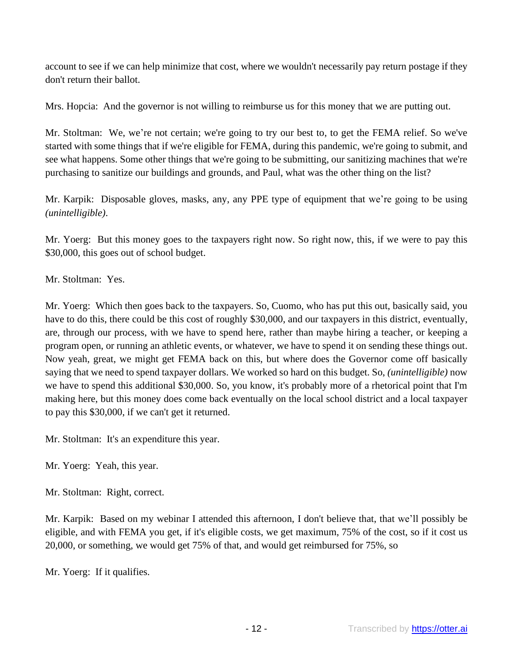account to see if we can help minimize that cost, where we wouldn't necessarily pay return postage if they don't return their ballot.

Mrs. Hopcia: And the governor is not willing to reimburse us for this money that we are putting out.

Mr. Stoltman: We, we're not certain; we're going to try our best to, to get the FEMA relief. So we've started with some things that if we're eligible for FEMA, during this pandemic, we're going to submit, and see what happens. Some other things that we're going to be submitting, our sanitizing machines that we're purchasing to sanitize our buildings and grounds, and Paul, what was the other thing on the list?

Mr. Karpik: Disposable gloves, masks, any, any PPE type of equipment that we're going to be using *(unintelligible)*.

Mr. Yoerg: But this money goes to the taxpayers right now. So right now, this, if we were to pay this \$30,000, this goes out of school budget.

Mr. Stoltman: Yes.

Mr. Yoerg: Which then goes back to the taxpayers. So, Cuomo, who has put this out, basically said, you have to do this, there could be this cost of roughly \$30,000, and our taxpayers in this district, eventually, are, through our process, with we have to spend here, rather than maybe hiring a teacher, or keeping a program open, or running an athletic events, or whatever, we have to spend it on sending these things out. Now yeah, great, we might get FEMA back on this, but where does the Governor come off basically saying that we need to spend taxpayer dollars. We worked so hard on this budget. So, *(unintelligible)* now we have to spend this additional \$30,000. So, you know, it's probably more of a rhetorical point that I'm making here, but this money does come back eventually on the local school district and a local taxpayer to pay this \$30,000, if we can't get it returned.

Mr. Stoltman: It's an expenditure this year.

Mr. Yoerg: Yeah, this year.

Mr. Stoltman: Right, correct.

Mr. Karpik: Based on my webinar I attended this afternoon, I don't believe that, that we'll possibly be eligible, and with FEMA you get, if it's eligible costs, we get maximum, 75% of the cost, so if it cost us 20,000, or something, we would get 75% of that, and would get reimbursed for 75%, so

Mr. Yoerg: If it qualifies.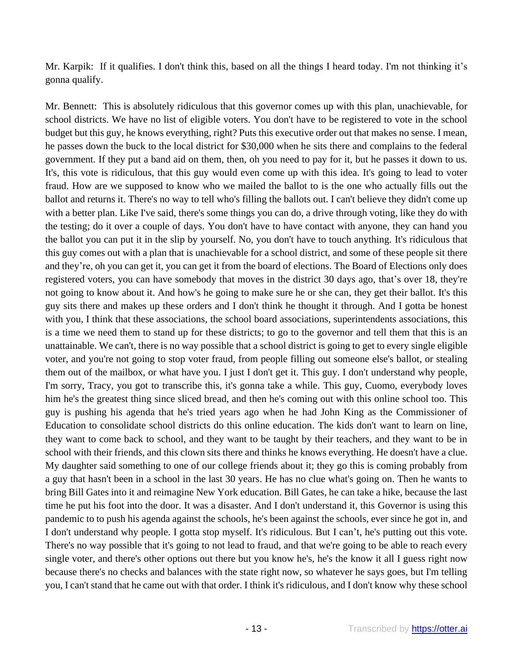Mr. Karpik: If it qualifies. I don't think this, based on all the things I heard today. I'm not thinking it's gonna qualify.

Mr. Bennett: This is absolutely ridiculous that this governor comes up with this plan, unachievable, for school districts. We have no list of eligible voters. You don't have to be registered to vote in the school budget but this guy, he knows everything, right? Puts this executive order out that makes no sense. I mean, he passes down the buck to the local district for \$30,000 when he sits there and complains to the federal government. If they put a band aid on them, then, oh you need to pay for it, but he passes it down to us. It's, this vote is ridiculous, that this guy would even come up with this idea. It's going to lead to voter fraud. How are we supposed to know who we mailed the ballot to is the one who actually fills out the ballot and returns it. There's no way to tell who's filling the ballots out. I can't believe they didn't come up with a better plan. Like I've said, there's some things you can do, a drive through voting, like they do with the testing; do it over a couple of days. You don't have to have contact with anyone, they can hand you the ballot you can put it in the slip by yourself. No, you don't have to touch anything. It's ridiculous that this guy comes out with a plan that is unachievable for a school district, and some of these people sit there and they're, oh you can get it, you can get it from the board of elections. The Board of Elections only does registered voters, you can have somebody that moves in the district 30 days ago, that's over 18, they're not going to know about it. And how's he going to make sure he or she can, they get their ballot. It's this guy sits there and makes up these orders and I don't think he thought it through. And I gotta be honest with you, I think that these associations, the school board associations, superintendents associations, this is a time we need them to stand up for these districts; to go to the governor and tell them that this is an unattainable. We can't, there is no way possible that a school district is going to get to every single eligible voter, and you're not going to stop voter fraud, from people filling out someone else's ballot, or stealing them out of the mailbox, or what have you. I just I don't get it. This guy. I don't understand why people, I'm sorry, Tracy, you got to transcribe this, it's gonna take a while. This guy, Cuomo, everybody loves him he's the greatest thing since sliced bread, and then he's coming out with this online school too. This guy is pushing his agenda that he's tried years ago when he had John King as the Commissioner of Education to consolidate school districts do this online education. The kids don't want to learn on line, they want to come back to school, and they want to be taught by their teachers, and they want to be in school with their friends, and this clown sits there and thinks he knows everything. He doesn't have a clue. My daughter said something to one of our college friends about it; they go this is coming probably from a guy that hasn't been in a school in the last 30 years. He has no clue what's going on. Then he wants to bring Bill Gates into it and reimagine New York education. Bill Gates, he can take a hike, because the last time he put his foot into the door. It was a disaster. And I don't understand it, this Governor is using this pandemic to to push his agenda against the schools, he's been against the schools, ever since he got in, and I don't understand why people. I gotta stop myself. It's ridiculous. But I can't, he's putting out this vote. There's no way possible that it's going to not lead to fraud, and that we're going to be able to reach every single voter, and there's other options out there but you know he's, he's the know it all I guess right now because there's no checks and balances with the state right now, so whatever he says goes, but I'm telling you, I can't stand that he came out with that order. I think it's ridiculous, and I don't know why these school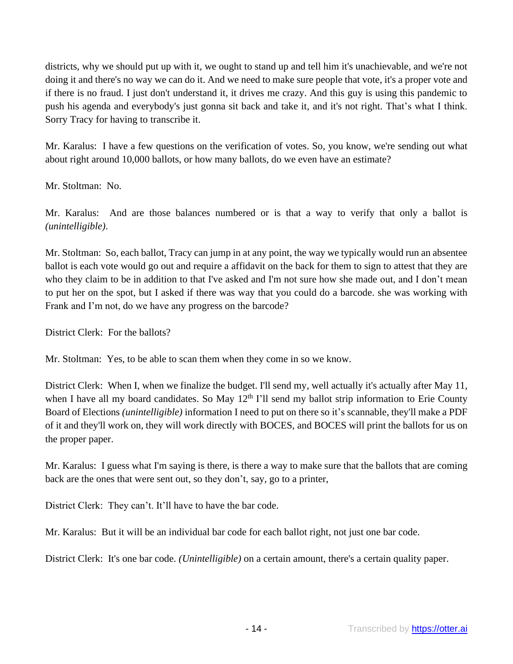districts, why we should put up with it, we ought to stand up and tell him it's unachievable, and we're not doing it and there's no way we can do it. And we need to make sure people that vote, it's a proper vote and if there is no fraud. I just don't understand it, it drives me crazy. And this guy is using this pandemic to push his agenda and everybody's just gonna sit back and take it, and it's not right. That's what I think. Sorry Tracy for having to transcribe it.

Mr. Karalus: I have a few questions on the verification of votes. So, you know, we're sending out what about right around 10,000 ballots, or how many ballots, do we even have an estimate?

Mr. Stoltman: No.

Mr. Karalus: And are those balances numbered or is that a way to verify that only a ballot is *(unintelligible)*.

Mr. Stoltman: So, each ballot, Tracy can jump in at any point, the way we typically would run an absentee ballot is each vote would go out and require a affidavit on the back for them to sign to attest that they are who they claim to be in addition to that I've asked and I'm not sure how she made out, and I don't mean to put her on the spot, but I asked if there was way that you could do a barcode. she was working with Frank and I'm not, do we have any progress on the barcode?

District Clerk: For the ballots?

Mr. Stoltman: Yes, to be able to scan them when they come in so we know.

District Clerk: When I, when we finalize the budget. I'll send my, well actually it's actually after May 11, when I have all my board candidates. So May  $12<sup>th</sup>$  I'll send my ballot strip information to Erie County Board of Elections *(unintelligible)* information I need to put on there so it's scannable, they'll make a PDF of it and they'll work on, they will work directly with BOCES, and BOCES will print the ballots for us on the proper paper.

Mr. Karalus: I guess what I'm saying is there, is there a way to make sure that the ballots that are coming back are the ones that were sent out, so they don't, say, go to a printer,

District Clerk: They can't. It'll have to have the bar code.

Mr. Karalus: But it will be an individual bar code for each ballot right, not just one bar code.

District Clerk: It's one bar code. *(Unintelligible)* on a certain amount, there's a certain quality paper.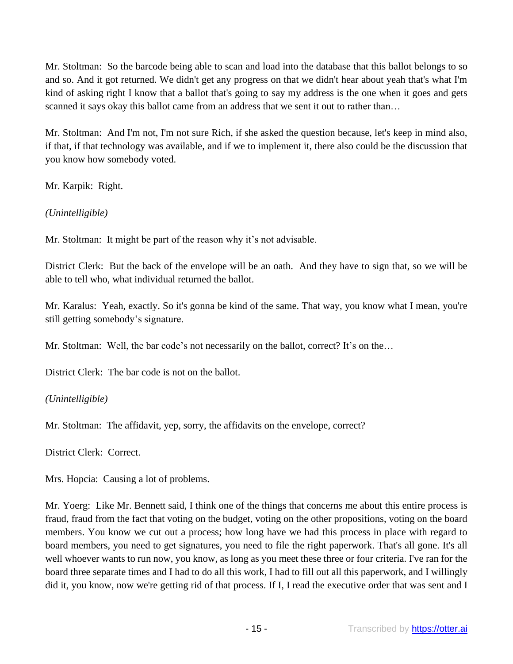Mr. Stoltman: So the barcode being able to scan and load into the database that this ballot belongs to so and so. And it got returned. We didn't get any progress on that we didn't hear about yeah that's what I'm kind of asking right I know that a ballot that's going to say my address is the one when it goes and gets scanned it says okay this ballot came from an address that we sent it out to rather than…

Mr. Stoltman: And I'm not, I'm not sure Rich, if she asked the question because, let's keep in mind also, if that, if that technology was available, and if we to implement it, there also could be the discussion that you know how somebody voted.

Mr. Karpik: Right.

*(Unintelligible)*

Mr. Stoltman: It might be part of the reason why it's not advisable.

District Clerk: But the back of the envelope will be an oath. And they have to sign that, so we will be able to tell who, what individual returned the ballot.

Mr. Karalus: Yeah, exactly. So it's gonna be kind of the same. That way, you know what I mean, you're still getting somebody's signature.

Mr. Stoltman: Well, the bar code's not necessarily on the ballot, correct? It's on the...

District Clerk: The bar code is not on the ballot.

*(Unintelligible)*

Mr. Stoltman: The affidavit, yep, sorry, the affidavits on the envelope, correct?

District Clerk: Correct.

Mrs. Hopcia: Causing a lot of problems.

Mr. Yoerg: Like Mr. Bennett said, I think one of the things that concerns me about this entire process is fraud, fraud from the fact that voting on the budget, voting on the other propositions, voting on the board members. You know we cut out a process; how long have we had this process in place with regard to board members, you need to get signatures, you need to file the right paperwork. That's all gone. It's all well whoever wants to run now, you know, as long as you meet these three or four criteria. I've ran for the board three separate times and I had to do all this work, I had to fill out all this paperwork, and I willingly did it, you know, now we're getting rid of that process. If I, I read the executive order that was sent and I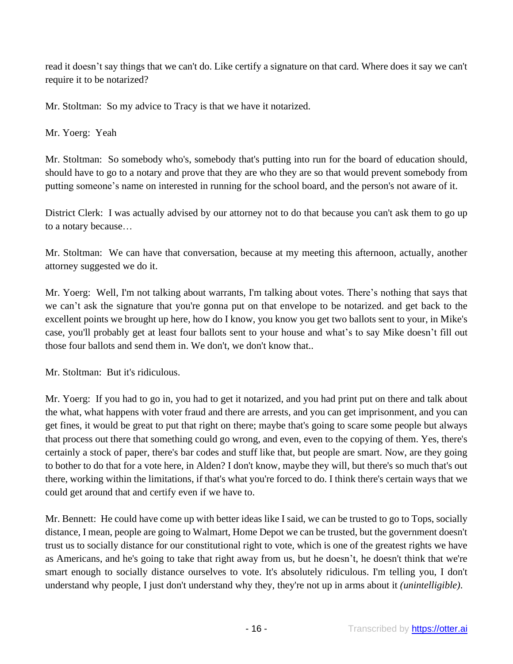read it doesn't say things that we can't do. Like certify a signature on that card. Where does it say we can't require it to be notarized?

Mr. Stoltman: So my advice to Tracy is that we have it notarized.

Mr. Yoerg: Yeah

Mr. Stoltman: So somebody who's, somebody that's putting into run for the board of education should, should have to go to a notary and prove that they are who they are so that would prevent somebody from putting someone's name on interested in running for the school board, and the person's not aware of it.

District Clerk: I was actually advised by our attorney not to do that because you can't ask them to go up to a notary because…

Mr. Stoltman: We can have that conversation, because at my meeting this afternoon, actually, another attorney suggested we do it.

Mr. Yoerg: Well, I'm not talking about warrants, I'm talking about votes. There's nothing that says that we can't ask the signature that you're gonna put on that envelope to be notarized. and get back to the excellent points we brought up here, how do I know, you know you get two ballots sent to your, in Mike's case, you'll probably get at least four ballots sent to your house and what's to say Mike doesn't fill out those four ballots and send them in. We don't, we don't know that..

Mr. Stoltman: But it's ridiculous.

Mr. Yoerg: If you had to go in, you had to get it notarized, and you had print put on there and talk about the what, what happens with voter fraud and there are arrests, and you can get imprisonment, and you can get fines, it would be great to put that right on there; maybe that's going to scare some people but always that process out there that something could go wrong, and even, even to the copying of them. Yes, there's certainly a stock of paper, there's bar codes and stuff like that, but people are smart. Now, are they going to bother to do that for a vote here, in Alden? I don't know, maybe they will, but there's so much that's out there, working within the limitations, if that's what you're forced to do. I think there's certain ways that we could get around that and certify even if we have to.

Mr. Bennett: He could have come up with better ideas like I said, we can be trusted to go to Tops, socially distance, I mean, people are going to Walmart, Home Depot we can be trusted, but the government doesn't trust us to socially distance for our constitutional right to vote, which is one of the greatest rights we have as Americans, and he's going to take that right away from us, but he doesn't, he doesn't think that we're smart enough to socially distance ourselves to vote. It's absolutely ridiculous. I'm telling you, I don't understand why people, I just don't understand why they, they're not up in arms about it *(unintelligible)*.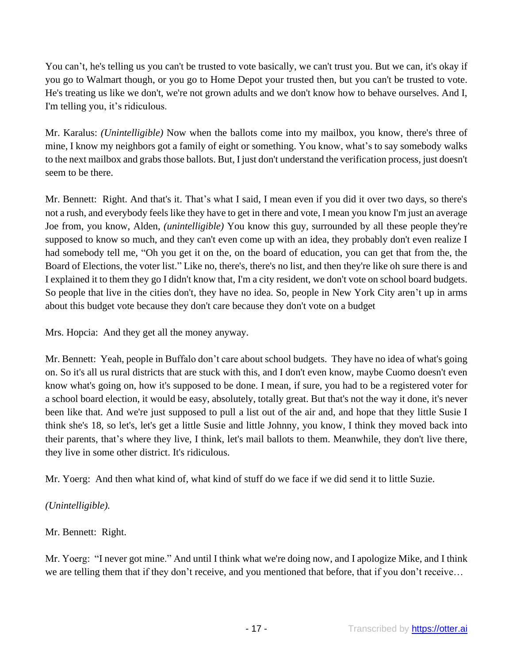You can't, he's telling us you can't be trusted to vote basically, we can't trust you. But we can, it's okay if you go to Walmart though, or you go to Home Depot your trusted then, but you can't be trusted to vote. He's treating us like we don't, we're not grown adults and we don't know how to behave ourselves. And I, I'm telling you, it's ridiculous.

Mr. Karalus: *(Unintelligible)* Now when the ballots come into my mailbox, you know, there's three of mine, I know my neighbors got a family of eight or something. You know, what's to say somebody walks to the next mailbox and grabs those ballots. But, I just don't understand the verification process, just doesn't seem to be there.

Mr. Bennett: Right. And that's it. That's what I said, I mean even if you did it over two days, so there's not a rush, and everybody feels like they have to get in there and vote, I mean you know I'm just an average Joe from, you know, Alden, *(unintelligible)* You know this guy, surrounded by all these people they're supposed to know so much, and they can't even come up with an idea, they probably don't even realize I had somebody tell me, "Oh you get it on the, on the board of education, you can get that from the, the Board of Elections, the voter list." Like no, there's, there's no list, and then they're like oh sure there is and I explained it to them they go I didn't know that, I'm a city resident, we don't vote on school board budgets. So people that live in the cities don't, they have no idea. So, people in New York City aren't up in arms about this budget vote because they don't care because they don't vote on a budget

Mrs. Hopcia: And they get all the money anyway.

Mr. Bennett: Yeah, people in Buffalo don't care about school budgets. They have no idea of what's going on. So it's all us rural districts that are stuck with this, and I don't even know, maybe Cuomo doesn't even know what's going on, how it's supposed to be done. I mean, if sure, you had to be a registered voter for a school board election, it would be easy, absolutely, totally great. But that's not the way it done, it's never been like that. And we're just supposed to pull a list out of the air and, and hope that they little Susie I think she's 18, so let's, let's get a little Susie and little Johnny, you know, I think they moved back into their parents, that's where they live, I think, let's mail ballots to them. Meanwhile, they don't live there, they live in some other district. It's ridiculous.

Mr. Yoerg: And then what kind of, what kind of stuff do we face if we did send it to little Suzie.

# *(Unintelligible).*

## Mr. Bennett: Right.

Mr. Yoerg: "I never got mine." And until I think what we're doing now, and I apologize Mike, and I think we are telling them that if they don't receive, and you mentioned that before, that if you don't receive…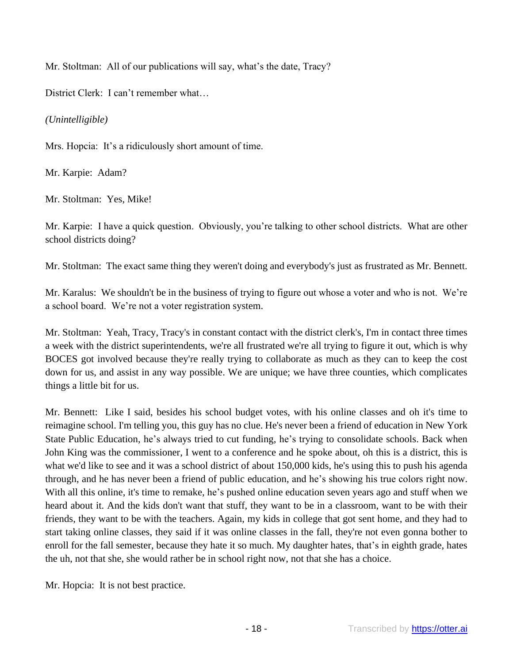Mr. Stoltman: All of our publications will say, what's the date, Tracy?

District Clerk: I can't remember what…

*(Unintelligible)*

Mrs. Hopcia: It's a ridiculously short amount of time.

Mr. Karpie: Adam?

Mr. Stoltman: Yes, Mike!

Mr. Karpie: I have a quick question. Obviously, you're talking to other school districts. What are other school districts doing?

Mr. Stoltman: The exact same thing they weren't doing and everybody's just as frustrated as Mr. Bennett.

Mr. Karalus: We shouldn't be in the business of trying to figure out whose a voter and who is not. We're a school board. We're not a voter registration system.

Mr. Stoltman: Yeah, Tracy, Tracy's in constant contact with the district clerk's, I'm in contact three times a week with the district superintendents, we're all frustrated we're all trying to figure it out, which is why BOCES got involved because they're really trying to collaborate as much as they can to keep the cost down for us, and assist in any way possible. We are unique; we have three counties, which complicates things a little bit for us.

Mr. Bennett: Like I said, besides his school budget votes, with his online classes and oh it's time to reimagine school. I'm telling you, this guy has no clue. He's never been a friend of education in New York State Public Education, he's always tried to cut funding, he's trying to consolidate schools. Back when John King was the commissioner, I went to a conference and he spoke about, oh this is a district, this is what we'd like to see and it was a school district of about 150,000 kids, he's using this to push his agenda through, and he has never been a friend of public education, and he's showing his true colors right now. With all this online, it's time to remake, he's pushed online education seven years ago and stuff when we heard about it. And the kids don't want that stuff, they want to be in a classroom, want to be with their friends, they want to be with the teachers. Again, my kids in college that got sent home, and they had to start taking online classes, they said if it was online classes in the fall, they're not even gonna bother to enroll for the fall semester, because they hate it so much. My daughter hates, that's in eighth grade, hates the uh, not that she, she would rather be in school right now, not that she has a choice.

Mr. Hopcia: It is not best practice.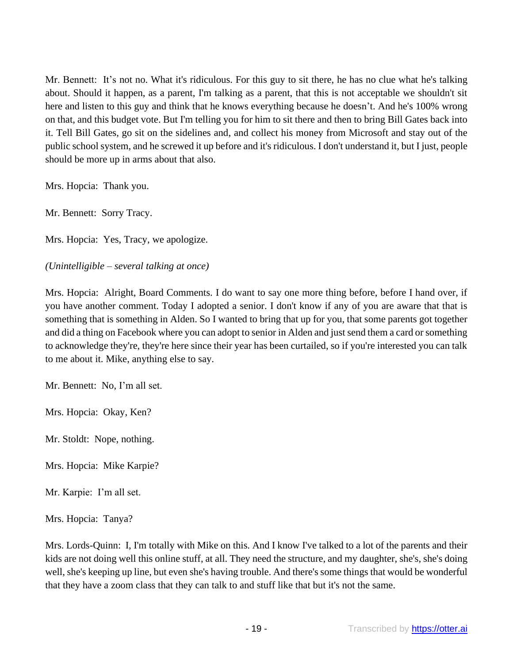Mr. Bennett: It's not no. What it's ridiculous. For this guy to sit there, he has no clue what he's talking about. Should it happen, as a parent, I'm talking as a parent, that this is not acceptable we shouldn't sit here and listen to this guy and think that he knows everything because he doesn't. And he's 100% wrong on that, and this budget vote. But I'm telling you for him to sit there and then to bring Bill Gates back into it. Tell Bill Gates, go sit on the sidelines and, and collect his money from Microsoft and stay out of the public school system, and he screwed it up before and it's ridiculous. I don't understand it, but I just, people should be more up in arms about that also.

Mrs. Hopcia: Thank you.

Mr. Bennett: Sorry Tracy.

Mrs. Hopcia: Yes, Tracy, we apologize.

*(Unintelligible – several talking at once)*

Mrs. Hopcia: Alright, Board Comments. I do want to say one more thing before, before I hand over, if you have another comment. Today I adopted a senior. I don't know if any of you are aware that that is something that is something in Alden. So I wanted to bring that up for you, that some parents got together and did a thing on Facebook where you can adopt to senior in Alden and just send them a card or something to acknowledge they're, they're here since their year has been curtailed, so if you're interested you can talk to me about it. Mike, anything else to say.

Mr. Bennett: No, I'm all set.

Mrs. Hopcia: Okay, Ken?

Mr. Stoldt: Nope, nothing.

Mrs. Hopcia: Mike Karpie?

Mr. Karpie: I'm all set.

Mrs. Hopcia: Tanya?

Mrs. Lords-Quinn: I, I'm totally with Mike on this. And I know I've talked to a lot of the parents and their kids are not doing well this online stuff, at all. They need the structure, and my daughter, she's, she's doing well, she's keeping up line, but even she's having trouble. And there's some things that would be wonderful that they have a zoom class that they can talk to and stuff like that but it's not the same.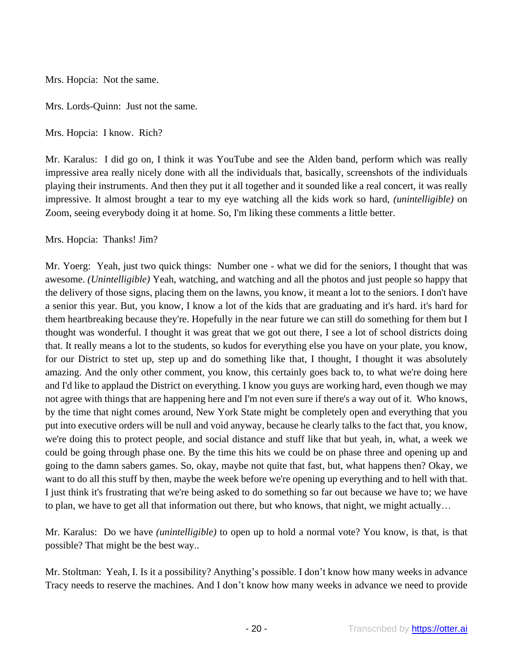Mrs. Hopcia: Not the same.

Mrs. Lords-Quinn: Just not the same.

Mrs. Hopcia: I know. Rich?

Mr. Karalus: I did go on, I think it was YouTube and see the Alden band, perform which was really impressive area really nicely done with all the individuals that, basically, screenshots of the individuals playing their instruments. And then they put it all together and it sounded like a real concert, it was really impressive. It almost brought a tear to my eye watching all the kids work so hard, *(unintelligible)* on Zoom, seeing everybody doing it at home. So, I'm liking these comments a little better.

Mrs. Hopcia: Thanks! Jim?

Mr. Yoerg: Yeah, just two quick things: Number one - what we did for the seniors, I thought that was awesome. *(Unintelligible)* Yeah, watching, and watching and all the photos and just people so happy that the delivery of those signs, placing them on the lawns, you know, it meant a lot to the seniors. I don't have a senior this year. But, you know, I know a lot of the kids that are graduating and it's hard. it's hard for them heartbreaking because they're. Hopefully in the near future we can still do something for them but I thought was wonderful. I thought it was great that we got out there, I see a lot of school districts doing that. It really means a lot to the students, so kudos for everything else you have on your plate, you know, for our District to stet up, step up and do something like that, I thought, I thought it was absolutely amazing. And the only other comment, you know, this certainly goes back to, to what we're doing here and I'd like to applaud the District on everything. I know you guys are working hard, even though we may not agree with things that are happening here and I'm not even sure if there's a way out of it. Who knows, by the time that night comes around, New York State might be completely open and everything that you put into executive orders will be null and void anyway, because he clearly talks to the fact that, you know, we're doing this to protect people, and social distance and stuff like that but yeah, in, what, a week we could be going through phase one. By the time this hits we could be on phase three and opening up and going to the damn sabers games. So, okay, maybe not quite that fast, but, what happens then? Okay, we want to do all this stuff by then, maybe the week before we're opening up everything and to hell with that. I just think it's frustrating that we're being asked to do something so far out because we have to; we have to plan, we have to get all that information out there, but who knows, that night, we might actually…

Mr. Karalus: Do we have *(unintelligible)* to open up to hold a normal vote? You know, is that, is that possible? That might be the best way..

Mr. Stoltman: Yeah, I. Is it a possibility? Anything's possible. I don't know how many weeks in advance Tracy needs to reserve the machines. And I don't know how many weeks in advance we need to provide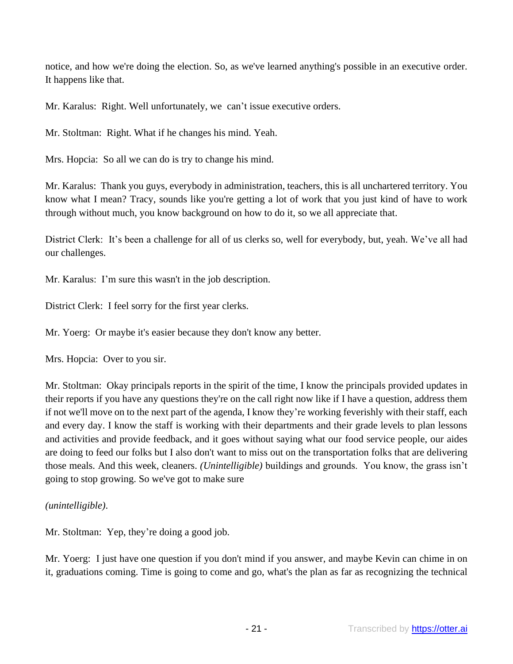notice, and how we're doing the election. So, as we've learned anything's possible in an executive order. It happens like that.

Mr. Karalus: Right. Well unfortunately, we can't issue executive orders.

Mr. Stoltman: Right. What if he changes his mind. Yeah.

Mrs. Hopcia: So all we can do is try to change his mind.

Mr. Karalus: Thank you guys, everybody in administration, teachers, this is all unchartered territory. You know what I mean? Tracy, sounds like you're getting a lot of work that you just kind of have to work through without much, you know background on how to do it, so we all appreciate that.

District Clerk: It's been a challenge for all of us clerks so, well for everybody, but, yeah. We've all had our challenges.

Mr. Karalus: I'm sure this wasn't in the job description.

District Clerk: I feel sorry for the first year clerks.

Mr. Yoerg: Or maybe it's easier because they don't know any better.

Mrs. Hopcia: Over to you sir.

Mr. Stoltman: Okay principals reports in the spirit of the time, I know the principals provided updates in their reports if you have any questions they're on the call right now like if I have a question, address them if not we'll move on to the next part of the agenda, I know they're working feverishly with their staff, each and every day. I know the staff is working with their departments and their grade levels to plan lessons and activities and provide feedback, and it goes without saying what our food service people, our aides are doing to feed our folks but I also don't want to miss out on the transportation folks that are delivering those meals. And this week, cleaners. *(Unintelligible)* buildings and grounds. You know, the grass isn't going to stop growing. So we've got to make sure

*(unintelligible)*.

Mr. Stoltman: Yep, they're doing a good job.

Mr. Yoerg: I just have one question if you don't mind if you answer, and maybe Kevin can chime in on it, graduations coming. Time is going to come and go, what's the plan as far as recognizing the technical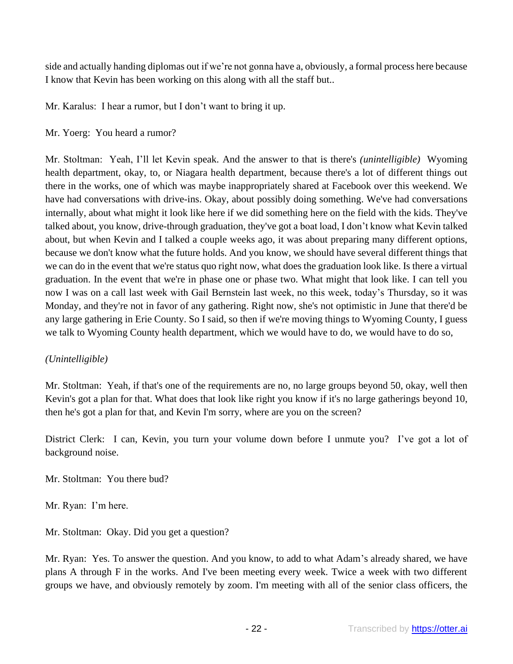side and actually handing diplomas out if we're not gonna have a, obviously, a formal process here because I know that Kevin has been working on this along with all the staff but..

Mr. Karalus: I hear a rumor, but I don't want to bring it up.

### Mr. Yoerg: You heard a rumor?

Mr. Stoltman: Yeah, I'll let Kevin speak. And the answer to that is there's *(unintelligible)* Wyoming health department, okay, to, or Niagara health department, because there's a lot of different things out there in the works, one of which was maybe inappropriately shared at Facebook over this weekend. We have had conversations with drive-ins. Okay, about possibly doing something. We've had conversations internally, about what might it look like here if we did something here on the field with the kids. They've talked about, you know, drive-through graduation, they've got a boat load, I don't know what Kevin talked about, but when Kevin and I talked a couple weeks ago, it was about preparing many different options, because we don't know what the future holds. And you know, we should have several different things that we can do in the event that we're status quo right now, what does the graduation look like. Is there a virtual graduation. In the event that we're in phase one or phase two. What might that look like. I can tell you now I was on a call last week with Gail Bernstein last week, no this week, today's Thursday, so it was Monday, and they're not in favor of any gathering. Right now, she's not optimistic in June that there'd be any large gathering in Erie County. So I said, so then if we're moving things to Wyoming County, I guess we talk to Wyoming County health department, which we would have to do, we would have to do so,

## *(Unintelligible)*

Mr. Stoltman: Yeah, if that's one of the requirements are no, no large groups beyond 50, okay, well then Kevin's got a plan for that. What does that look like right you know if it's no large gatherings beyond 10, then he's got a plan for that, and Kevin I'm sorry, where are you on the screen?

District Clerk: I can, Kevin, you turn your volume down before I unmute you? I've got a lot of background noise.

Mr. Stoltman: You there bud?

Mr. Ryan: I'm here.

Mr. Stoltman: Okay. Did you get a question?

Mr. Ryan: Yes. To answer the question. And you know, to add to what Adam's already shared, we have plans A through F in the works. And I've been meeting every week. Twice a week with two different groups we have, and obviously remotely by zoom. I'm meeting with all of the senior class officers, the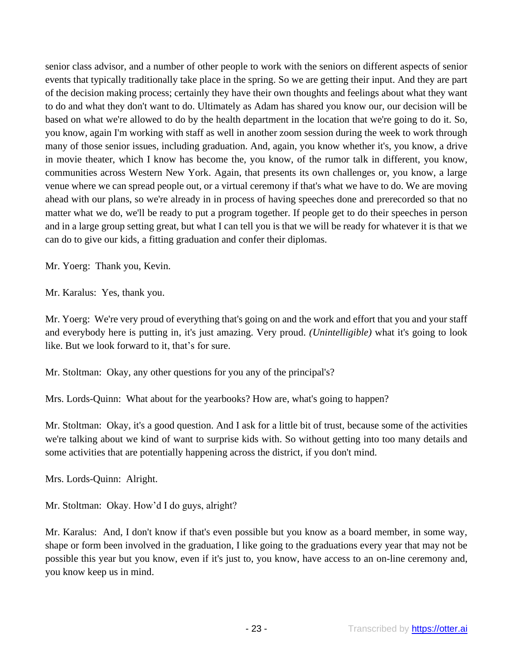senior class advisor, and a number of other people to work with the seniors on different aspects of senior events that typically traditionally take place in the spring. So we are getting their input. And they are part of the decision making process; certainly they have their own thoughts and feelings about what they want to do and what they don't want to do. Ultimately as Adam has shared you know our, our decision will be based on what we're allowed to do by the health department in the location that we're going to do it. So, you know, again I'm working with staff as well in another zoom session during the week to work through many of those senior issues, including graduation. And, again, you know whether it's, you know, a drive in movie theater, which I know has become the, you know, of the rumor talk in different, you know, communities across Western New York. Again, that presents its own challenges or, you know, a large venue where we can spread people out, or a virtual ceremony if that's what we have to do. We are moving ahead with our plans, so we're already in in process of having speeches done and prerecorded so that no matter what we do, we'll be ready to put a program together. If people get to do their speeches in person and in a large group setting great, but what I can tell you is that we will be ready for whatever it is that we can do to give our kids, a fitting graduation and confer their diplomas.

Mr. Yoerg: Thank you, Kevin.

Mr. Karalus: Yes, thank you.

Mr. Yoerg: We're very proud of everything that's going on and the work and effort that you and your staff and everybody here is putting in, it's just amazing. Very proud. *(Unintelligible)* what it's going to look like. But we look forward to it, that's for sure.

Mr. Stoltman: Okay, any other questions for you any of the principal's?

Mrs. Lords-Quinn: What about for the yearbooks? How are, what's going to happen?

Mr. Stoltman: Okay, it's a good question. And I ask for a little bit of trust, because some of the activities we're talking about we kind of want to surprise kids with. So without getting into too many details and some activities that are potentially happening across the district, if you don't mind.

Mrs. Lords-Quinn: Alright.

Mr. Stoltman: Okay. How'd I do guys, alright?

Mr. Karalus: And, I don't know if that's even possible but you know as a board member, in some way, shape or form been involved in the graduation, I like going to the graduations every year that may not be possible this year but you know, even if it's just to, you know, have access to an on-line ceremony and, you know keep us in mind.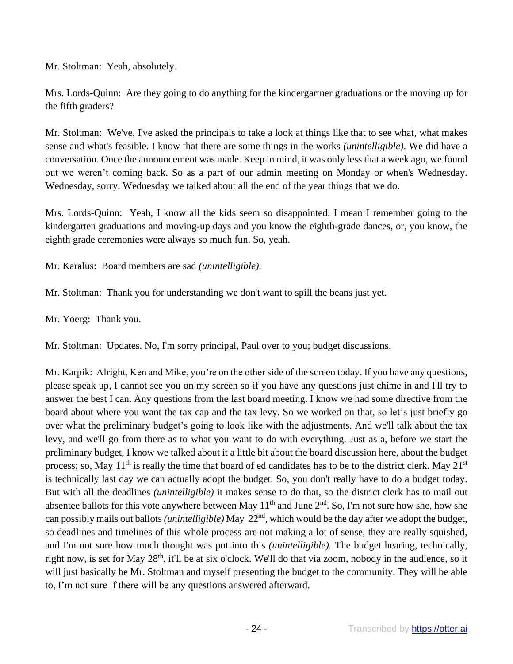Mr. Stoltman: Yeah, absolutely.

Mrs. Lords-Quinn: Are they going to do anything for the kindergartner graduations or the moving up for the fifth graders?

Mr. Stoltman: We've, I've asked the principals to take a look at things like that to see what, what makes sense and what's feasible. I know that there are some things in the works *(unintelligible)*. We did have a conversation. Once the announcement was made. Keep in mind, it was only less that a week ago, we found out we weren't coming back. So as a part of our admin meeting on Monday or when's Wednesday. Wednesday, sorry. Wednesday we talked about all the end of the year things that we do.

Mrs. Lords-Quinn: Yeah, I know all the kids seem so disappointed. I mean I remember going to the kindergarten graduations and moving-up days and you know the eighth-grade dances, or, you know, the eighth grade ceremonies were always so much fun. So, yeah.

Mr. Karalus: Board members are sad *(unintelligible).*

Mr. Stoltman: Thank you for understanding we don't want to spill the beans just yet.

Mr. Yoerg: Thank you.

Mr. Stoltman: Updates. No, I'm sorry principal, Paul over to you; budget discussions.

Mr. Karpik: Alright, Ken and Mike, you're on the other side of the screen today. If you have any questions, please speak up, I cannot see you on my screen so if you have any questions just chime in and I'll try to answer the best I can. Any questions from the last board meeting. I know we had some directive from the board about where you want the tax cap and the tax levy. So we worked on that, so let's just briefly go over what the preliminary budget's going to look like with the adjustments. And we'll talk about the tax levy, and we'll go from there as to what you want to do with everything. Just as a, before we start the preliminary budget, I know we talked about it a little bit about the board discussion here, about the budget process; so, May 11<sup>th</sup> is really the time that board of ed candidates has to be to the district clerk. May 21<sup>st</sup> is technically last day we can actually adopt the budget. So, you don't really have to do a budget today. But with all the deadlines *(unintelligible)* it makes sense to do that, so the district clerk has to mail out absentee ballots for this vote anywhere between May  $11<sup>th</sup>$  and June  $2<sup>nd</sup>$ . So, I'm not sure how she, how she can possibly mails out ballots *(unintelligible)* May 22<sup>nd</sup>, which would be the day after we adopt the budget, so deadlines and timelines of this whole process are not making a lot of sense, they are really squished, and I'm not sure how much thought was put into this *(unintelligible).* The budget hearing, technically, right now, is set for May 28<sup>th</sup>, it'll be at six o'clock. We'll do that via zoom, nobody in the audience, so it will just basically be Mr. Stoltman and myself presenting the budget to the community. They will be able to, I'm not sure if there will be any questions answered afterward.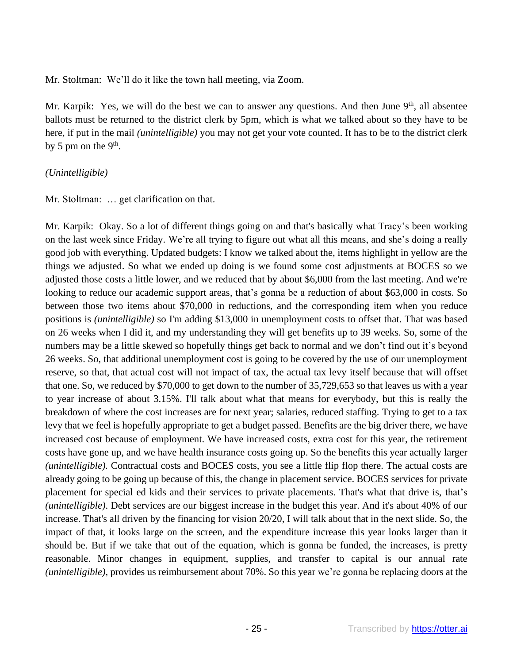Mr. Stoltman: We'll do it like the town hall meeting, via Zoom.

Mr. Karpik: Yes, we will do the best we can to answer any questions. And then June 9<sup>th</sup>, all absentee ballots must be returned to the district clerk by 5pm, which is what we talked about so they have to be here, if put in the mail *(unintelligible)* you may not get your vote counted. It has to be to the district clerk by 5 pm on the  $9<sup>th</sup>$ .

## *(Unintelligible)*

Mr. Stoltman: … get clarification on that.

Mr. Karpik: Okay. So a lot of different things going on and that's basically what Tracy's been working on the last week since Friday. We're all trying to figure out what all this means, and she's doing a really good job with everything. Updated budgets: I know we talked about the, items highlight in yellow are the things we adjusted. So what we ended up doing is we found some cost adjustments at BOCES so we adjusted those costs a little lower, and we reduced that by about \$6,000 from the last meeting. And we're looking to reduce our academic support areas, that's gonna be a reduction of about \$63,000 in costs. So between those two items about \$70,000 in reductions, and the corresponding item when you reduce positions is *(unintelligible)* so I'm adding \$13,000 in unemployment costs to offset that. That was based on 26 weeks when I did it, and my understanding they will get benefits up to 39 weeks. So, some of the numbers may be a little skewed so hopefully things get back to normal and we don't find out it's beyond 26 weeks. So, that additional unemployment cost is going to be covered by the use of our unemployment reserve, so that, that actual cost will not impact of tax, the actual tax levy itself because that will offset that one. So, we reduced by \$70,000 to get down to the number of 35,729,653 so that leaves us with a year to year increase of about 3.15%. I'll talk about what that means for everybody, but this is really the breakdown of where the cost increases are for next year; salaries, reduced staffing. Trying to get to a tax levy that we feel is hopefully appropriate to get a budget passed. Benefits are the big driver there, we have increased cost because of employment. We have increased costs, extra cost for this year, the retirement costs have gone up, and we have health insurance costs going up. So the benefits this year actually larger *(unintelligible).* Contractual costs and BOCES costs, you see a little flip flop there. The actual costs are already going to be going up because of this, the change in placement service. BOCES services for private placement for special ed kids and their services to private placements. That's what that drive is, that's *(unintelligible)*. Debt services are our biggest increase in the budget this year. And it's about 40% of our increase. That's all driven by the financing for vision 20/20, I will talk about that in the next slide. So, the impact of that, it looks large on the screen, and the expenditure increase this year looks larger than it should be. But if we take that out of the equation, which is gonna be funded, the increases, is pretty reasonable. Minor changes in equipment, supplies, and transfer to capital is our annual rate *(unintelligible)*, provides us reimbursement about 70%. So this year we're gonna be replacing doors at the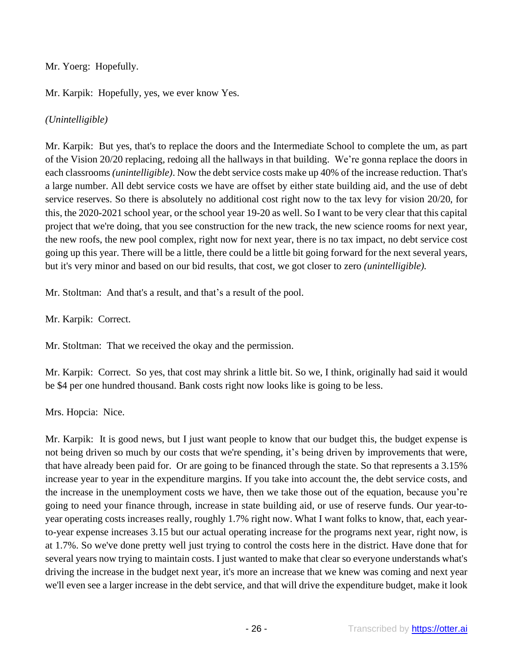## Mr. Yoerg: Hopefully.

Mr. Karpik: Hopefully, yes, we ever know Yes.

# *(Unintelligible)*

Mr. Karpik: But yes, that's to replace the doors and the Intermediate School to complete the um, as part of the Vision 20/20 replacing, redoing all the hallways in that building. We're gonna replace the doors in each classrooms *(unintelligible)*. Now the debt service costs make up 40% of the increase reduction. That's a large number. All debt service costs we have are offset by either state building aid, and the use of debt service reserves. So there is absolutely no additional cost right now to the tax levy for vision 20/20, for this, the 2020-2021 school year, or the school year 19-20 as well. So I want to be very clear that this capital project that we're doing, that you see construction for the new track, the new science rooms for next year, the new roofs, the new pool complex, right now for next year, there is no tax impact, no debt service cost going up this year. There will be a little, there could be a little bit going forward for the next several years, but it's very minor and based on our bid results, that cost, we got closer to zero *(unintelligible).*

Mr. Stoltman: And that's a result, and that's a result of the pool.

Mr. Karpik: Correct.

Mr. Stoltman: That we received the okay and the permission.

Mr. Karpik: Correct. So yes, that cost may shrink a little bit. So we, I think, originally had said it would be \$4 per one hundred thousand. Bank costs right now looks like is going to be less.

Mrs. Hopcia: Nice.

Mr. Karpik: It is good news, but I just want people to know that our budget this, the budget expense is not being driven so much by our costs that we're spending, it's being driven by improvements that were, that have already been paid for. Or are going to be financed through the state. So that represents a 3.15% increase year to year in the expenditure margins. If you take into account the, the debt service costs, and the increase in the unemployment costs we have, then we take those out of the equation, because you're going to need your finance through, increase in state building aid, or use of reserve funds. Our year-toyear operating costs increases really, roughly 1.7% right now. What I want folks to know, that, each yearto-year expense increases 3.15 but our actual operating increase for the programs next year, right now, is at 1.7%. So we've done pretty well just trying to control the costs here in the district. Have done that for several years now trying to maintain costs. I just wanted to make that clear so everyone understands what's driving the increase in the budget next year, it's more an increase that we knew was coming and next year we'll even see a larger increase in the debt service, and that will drive the expenditure budget, make it look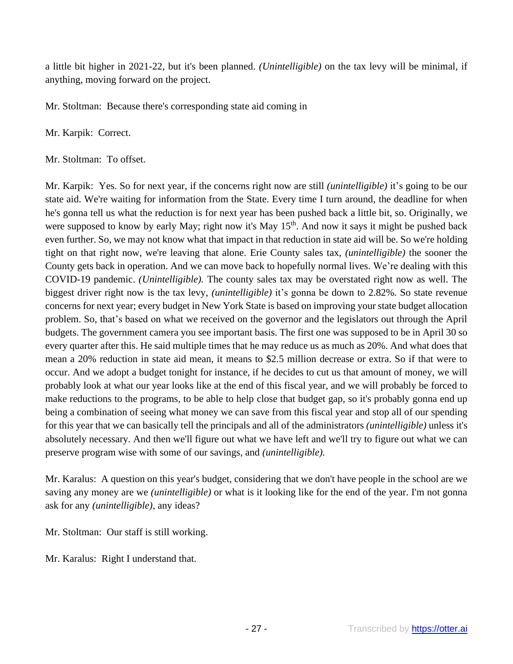a little bit higher in 2021-22, but it's been planned. *(Unintelligible)* on the tax levy will be minimal, if anything, moving forward on the project.

Mr. Stoltman: Because there's corresponding state aid coming in

Mr. Karpik: Correct.

Mr. Stoltman: To offset.

Mr. Karpik: Yes. So for next year, if the concerns right now are still *(unintelligible)* it's going to be our state aid. We're waiting for information from the State. Every time I turn around, the deadline for when he's gonna tell us what the reduction is for next year has been pushed back a little bit, so. Originally, we were supposed to know by early May; right now it's May 15<sup>th</sup>. And now it says it might be pushed back even further. So, we may not know what that impact in that reduction in state aid will be. So we're holding tight on that right now, we're leaving that alone. Erie County sales tax, *(unintelligible)* the sooner the County gets back in operation. And we can move back to hopefully normal lives. We're dealing with this COVID-19 pandemic. *(Unintelligible).* The county sales tax may be overstated right now as well. The biggest driver right now is the tax levy, *(unintelligible)* it's gonna be down to 2.82%. So state revenue concerns for next year; every budget in New York State is based on improving your state budget allocation problem. So, that's based on what we received on the governor and the legislators out through the April budgets. The government camera you see important basis. The first one was supposed to be in April 30 so every quarter after this. He said multiple times that he may reduce us as much as 20%. And what does that mean a 20% reduction in state aid mean, it means to \$2.5 million decrease or extra. So if that were to occur. And we adopt a budget tonight for instance, if he decides to cut us that amount of money, we will probably look at what our year looks like at the end of this fiscal year, and we will probably be forced to make reductions to the programs, to be able to help close that budget gap, so it's probably gonna end up being a combination of seeing what money we can save from this fiscal year and stop all of our spending for this year that we can basically tell the principals and all of the administrators *(unintelligible)* unless it's absolutely necessary. And then we'll figure out what we have left and we'll try to figure out what we can preserve program wise with some of our savings, and *(unintelligible).*

Mr. Karalus: A question on this year's budget, considering that we don't have people in the school are we saving any money are we *(unintelligible)* or what is it looking like for the end of the year. I'm not gonna ask for any *(unintelligible)*, any ideas?

Mr. Stoltman: Our staff is still working.

Mr. Karalus: Right I understand that.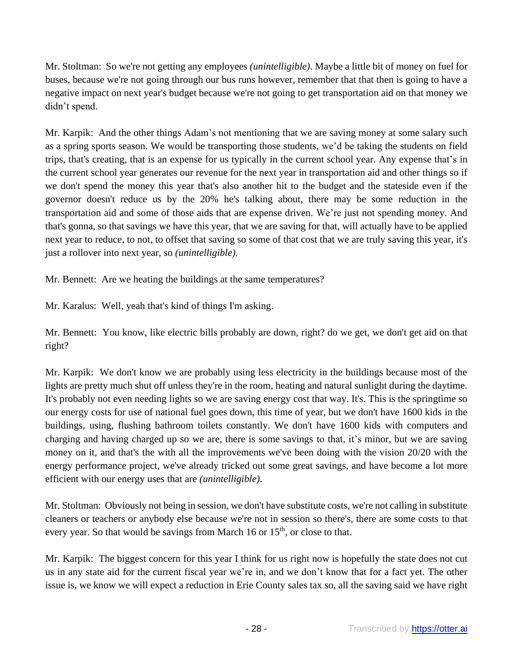Mr. Stoltman: So we're not getting any employees *(unintelligible)*. Maybe a little bit of money on fuel for buses, because we're not going through our bus runs however, remember that that then is going to have a negative impact on next year's budget because we're not going to get transportation aid on that money we didn't spend.

Mr. Karpik: And the other things Adam's not mentioning that we are saving money at some salary such as a spring sports season. We would be transporting those students, we'd be taking the students on field trips, that's creating, that is an expense for us typically in the current school year. Any expense that's in the current school year generates our revenue for the next year in transportation aid and other things so if we don't spend the money this year that's also another hit to the budget and the stateside even if the governor doesn't reduce us by the 20% he's talking about, there may be some reduction in the transportation aid and some of those aids that are expense driven. We're just not spending money. And that's gonna, so that savings we have this year, that we are saving for that, will actually have to be applied next year to reduce, to not, to offset that saving so some of that cost that we are truly saving this year, it's just a rollover into next year, so *(unintelligible).*

Mr. Bennett: Are we heating the buildings at the same temperatures?

Mr. Karalus: Well, yeah that's kind of things I'm asking.

Mr. Bennett: You know, like electric bills probably are down, right? do we get, we don't get aid on that right?

Mr. Karpik: We don't know we are probably using less electricity in the buildings because most of the lights are pretty much shut off unless they're in the room, heating and natural sunlight during the daytime. It's probably not even needing lights so we are saving energy cost that way. It's. This is the springtime so our energy costs for use of national fuel goes down, this time of year, but we don't have 1600 kids in the buildings, using, flushing bathroom toilets constantly. We don't have 1600 kids with computers and charging and having charged up so we are, there is some savings to that, it's minor, but we are saving money on it, and that's the with all the improvements we've been doing with the vision 20/20 with the energy performance project, we've already tricked out some great savings, and have become a lot more efficient with our energy uses that are *(unintelligible)*.

Mr. Stoltman: Obviously not being in session, we don't have substitute costs, we're not calling in substitute cleaners or teachers or anybody else because we're not in session so there's, there are some costs to that every year. So that would be savings from March 16 or  $15<sup>th</sup>$ , or close to that.

Mr. Karpik: The biggest concern for this year I think for us right now is hopefully the state does not cut us in any state aid for the current fiscal year we're in, and we don't know that for a fact yet. The other issue is, we know we will expect a reduction in Erie County sales tax so, all the saving said we have right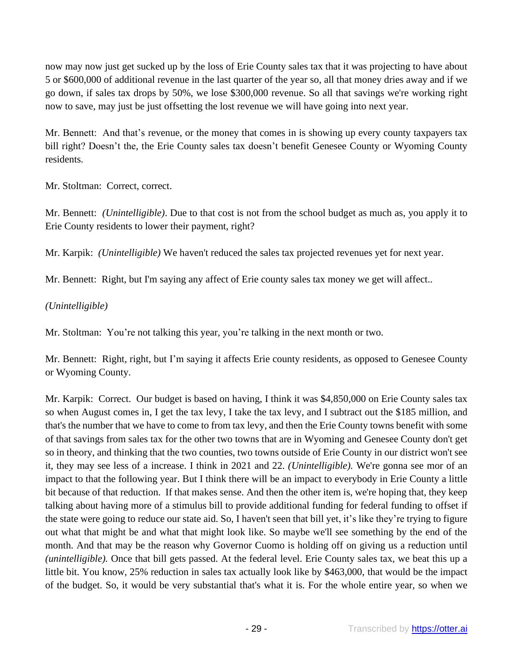now may now just get sucked up by the loss of Erie County sales tax that it was projecting to have about 5 or \$600,000 of additional revenue in the last quarter of the year so, all that money dries away and if we go down, if sales tax drops by 50%, we lose \$300,000 revenue. So all that savings we're working right now to save, may just be just offsetting the lost revenue we will have going into next year.

Mr. Bennett: And that's revenue, or the money that comes in is showing up every county taxpayers tax bill right? Doesn't the, the Erie County sales tax doesn't benefit Genesee County or Wyoming County residents.

Mr. Stoltman: Correct, correct.

Mr. Bennett: *(Unintelligible)*. Due to that cost is not from the school budget as much as, you apply it to Erie County residents to lower their payment, right?

Mr. Karpik: *(Unintelligible)* We haven't reduced the sales tax projected revenues yet for next year.

Mr. Bennett: Right, but I'm saying any affect of Erie county sales tax money we get will affect..

# *(Unintelligible)*

Mr. Stoltman: You're not talking this year, you're talking in the next month or two.

Mr. Bennett: Right, right, but I'm saying it affects Erie county residents, as opposed to Genesee County or Wyoming County.

Mr. Karpik: Correct. Our budget is based on having, I think it was \$4,850,000 on Erie County sales tax so when August comes in, I get the tax levy, I take the tax levy, and I subtract out the \$185 million, and that's the number that we have to come to from tax levy, and then the Erie County towns benefit with some of that savings from sales tax for the other two towns that are in Wyoming and Genesee County don't get so in theory, and thinking that the two counties, two towns outside of Erie County in our district won't see it, they may see less of a increase. I think in 2021 and 22. *(Unintelligible).* We're gonna see mor of an impact to that the following year. But I think there will be an impact to everybody in Erie County a little bit because of that reduction. If that makes sense. And then the other item is, we're hoping that, they keep talking about having more of a stimulus bill to provide additional funding for federal funding to offset if the state were going to reduce our state aid. So, I haven't seen that bill yet, it's like they're trying to figure out what that might be and what that might look like. So maybe we'll see something by the end of the month. And that may be the reason why Governor Cuomo is holding off on giving us a reduction until *(unintelligible).* Once that bill gets passed. At the federal level. Erie County sales tax, we beat this up a little bit. You know, 25% reduction in sales tax actually look like by \$463,000, that would be the impact of the budget. So, it would be very substantial that's what it is. For the whole entire year, so when we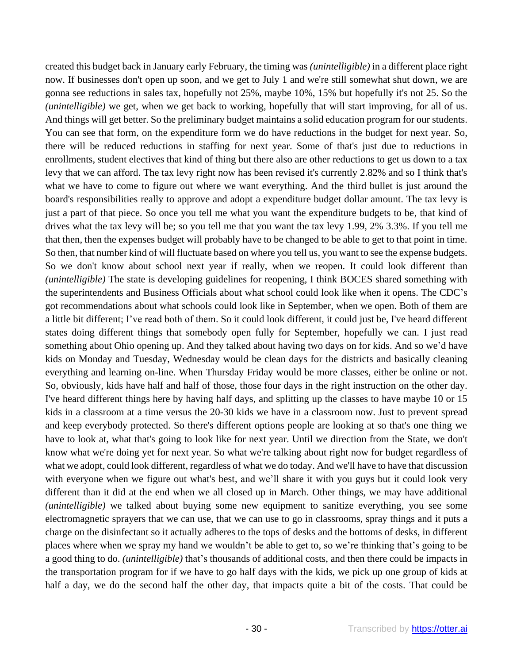created this budget back in January early February, the timing was *(unintelligible)* in a different place right now. If businesses don't open up soon, and we get to July 1 and we're still somewhat shut down, we are gonna see reductions in sales tax, hopefully not 25%, maybe 10%, 15% but hopefully it's not 25. So the *(unintelligible)* we get, when we get back to working, hopefully that will start improving, for all of us. And things will get better. So the preliminary budget maintains a solid education program for our students. You can see that form, on the expenditure form we do have reductions in the budget for next year. So, there will be reduced reductions in staffing for next year. Some of that's just due to reductions in enrollments, student electives that kind of thing but there also are other reductions to get us down to a tax levy that we can afford. The tax levy right now has been revised it's currently 2.82% and so I think that's what we have to come to figure out where we want everything. And the third bullet is just around the board's responsibilities really to approve and adopt a expenditure budget dollar amount. The tax levy is just a part of that piece. So once you tell me what you want the expenditure budgets to be, that kind of drives what the tax levy will be; so you tell me that you want the tax levy 1.99, 2% 3.3%. If you tell me that then, then the expenses budget will probably have to be changed to be able to get to that point in time. So then, that number kind of will fluctuate based on where you tell us, you want to see the expense budgets. So we don't know about school next year if really, when we reopen. It could look different than *(unintelligible)* The state is developing guidelines for reopening, I think BOCES shared something with the superintendents and Business Officials about what school could look like when it opens. The CDC's got recommendations about what schools could look like in September, when we open. Both of them are a little bit different; I've read both of them. So it could look different, it could just be, I've heard different states doing different things that somebody open fully for September, hopefully we can. I just read something about Ohio opening up. And they talked about having two days on for kids. And so we'd have kids on Monday and Tuesday, Wednesday would be clean days for the districts and basically cleaning everything and learning on-line. When Thursday Friday would be more classes, either be online or not. So, obviously, kids have half and half of those, those four days in the right instruction on the other day. I've heard different things here by having half days, and splitting up the classes to have maybe 10 or 15 kids in a classroom at a time versus the 20-30 kids we have in a classroom now. Just to prevent spread and keep everybody protected. So there's different options people are looking at so that's one thing we have to look at, what that's going to look like for next year. Until we direction from the State, we don't know what we're doing yet for next year. So what we're talking about right now for budget regardless of what we adopt, could look different, regardless of what we do today. And we'll have to have that discussion with everyone when we figure out what's best, and we'll share it with you guys but it could look very different than it did at the end when we all closed up in March. Other things, we may have additional *(unintelligible)* we talked about buying some new equipment to sanitize everything, you see some electromagnetic sprayers that we can use, that we can use to go in classrooms, spray things and it puts a charge on the disinfectant so it actually adheres to the tops of desks and the bottoms of desks, in different places where when we spray my hand we wouldn't be able to get to, so we're thinking that's going to be a good thing to do. *(unintelligible)* that's thousands of additional costs, and then there could be impacts in the transportation program for if we have to go half days with the kids, we pick up one group of kids at half a day, we do the second half the other day, that impacts quite a bit of the costs. That could be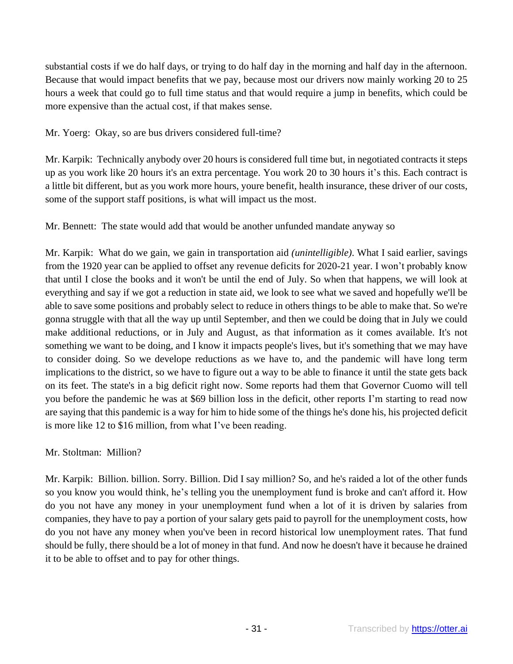substantial costs if we do half days, or trying to do half day in the morning and half day in the afternoon. Because that would impact benefits that we pay, because most our drivers now mainly working 20 to 25 hours a week that could go to full time status and that would require a jump in benefits, which could be more expensive than the actual cost, if that makes sense.

Mr. Yoerg: Okay, so are bus drivers considered full-time?

Mr. Karpik: Technically anybody over 20 hours is considered full time but, in negotiated contracts it steps up as you work like 20 hours it's an extra percentage. You work 20 to 30 hours it's this. Each contract is a little bit different, but as you work more hours, youre benefit, health insurance, these driver of our costs, some of the support staff positions, is what will impact us the most.

Mr. Bennett: The state would add that would be another unfunded mandate anyway so

Mr. Karpik: What do we gain, we gain in transportation aid *(unintelligible)*. What I said earlier, savings from the 1920 year can be applied to offset any revenue deficits for 2020-21 year. I won't probably know that until I close the books and it won't be until the end of July. So when that happens, we will look at everything and say if we got a reduction in state aid, we look to see what we saved and hopefully we'll be able to save some positions and probably select to reduce in others things to be able to make that. So we're gonna struggle with that all the way up until September, and then we could be doing that in July we could make additional reductions, or in July and August, as that information as it comes available. It's not something we want to be doing, and I know it impacts people's lives, but it's something that we may have to consider doing. So we develope reductions as we have to, and the pandemic will have long term implications to the district, so we have to figure out a way to be able to finance it until the state gets back on its feet. The state's in a big deficit right now. Some reports had them that Governor Cuomo will tell you before the pandemic he was at \$69 billion loss in the deficit, other reports I'm starting to read now are saying that this pandemic is a way for him to hide some of the things he's done his, his projected deficit is more like 12 to \$16 million, from what I've been reading.

# Mr. Stoltman: Million?

Mr. Karpik: Billion. billion. Sorry. Billion. Did I say million? So, and he's raided a lot of the other funds so you know you would think, he's telling you the unemployment fund is broke and can't afford it. How do you not have any money in your unemployment fund when a lot of it is driven by salaries from companies, they have to pay a portion of your salary gets paid to payroll for the unemployment costs, how do you not have any money when you've been in record historical low unemployment rates. That fund should be fully, there should be a lot of money in that fund. And now he doesn't have it because he drained it to be able to offset and to pay for other things.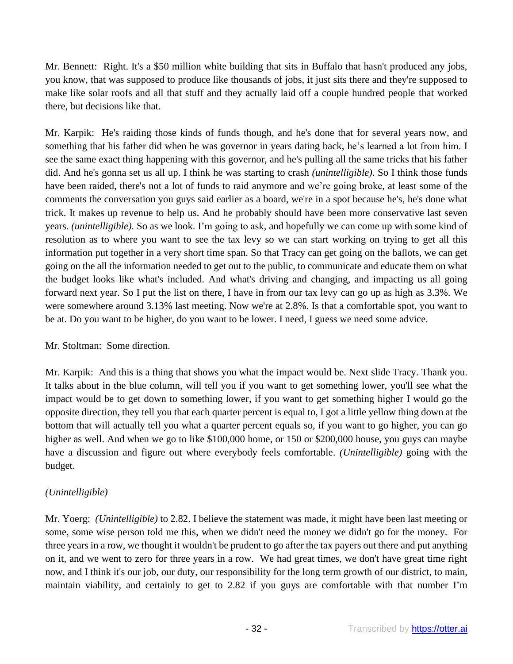Mr. Bennett: Right. It's a \$50 million white building that sits in Buffalo that hasn't produced any jobs, you know, that was supposed to produce like thousands of jobs, it just sits there and they're supposed to make like solar roofs and all that stuff and they actually laid off a couple hundred people that worked there, but decisions like that.

Mr. Karpik: He's raiding those kinds of funds though, and he's done that for several years now, and something that his father did when he was governor in years dating back, he's learned a lot from him. I see the same exact thing happening with this governor, and he's pulling all the same tricks that his father did. And he's gonna set us all up. I think he was starting to crash *(unintelligible)*. So I think those funds have been raided, there's not a lot of funds to raid anymore and we're going broke, at least some of the comments the conversation you guys said earlier as a board, we're in a spot because he's, he's done what trick. It makes up revenue to help us. And he probably should have been more conservative last seven years. *(unintelligible).* So as we look. I'm going to ask, and hopefully we can come up with some kind of resolution as to where you want to see the tax levy so we can start working on trying to get all this information put together in a very short time span. So that Tracy can get going on the ballots, we can get going on the all the information needed to get out to the public, to communicate and educate them on what the budget looks like what's included. And what's driving and changing, and impacting us all going forward next year. So I put the list on there, I have in from our tax levy can go up as high as 3.3%. We were somewhere around 3.13% last meeting. Now we're at 2.8%. Is that a comfortable spot, you want to be at. Do you want to be higher, do you want to be lower. I need, I guess we need some advice.

## Mr. Stoltman: Some direction.

Mr. Karpik: And this is a thing that shows you what the impact would be. Next slide Tracy. Thank you. It talks about in the blue column, will tell you if you want to get something lower, you'll see what the impact would be to get down to something lower, if you want to get something higher I would go the opposite direction, they tell you that each quarter percent is equal to, I got a little yellow thing down at the bottom that will actually tell you what a quarter percent equals so, if you want to go higher, you can go higher as well. And when we go to like \$100,000 home, or 150 or \$200,000 house, you guys can maybe have a discussion and figure out where everybody feels comfortable. *(Unintelligible)* going with the budget.

# *(Unintelligible)*

Mr. Yoerg: *(Unintelligible)* to 2.82. I believe the statement was made, it might have been last meeting or some, some wise person told me this, when we didn't need the money we didn't go for the money. For three years in a row, we thought it wouldn't be prudent to go after the tax payers out there and put anything on it, and we went to zero for three years in a row. We had great times, we don't have great time right now, and I think it's our job, our duty, our responsibility for the long term growth of our district, to main, maintain viability, and certainly to get to 2.82 if you guys are comfortable with that number I'm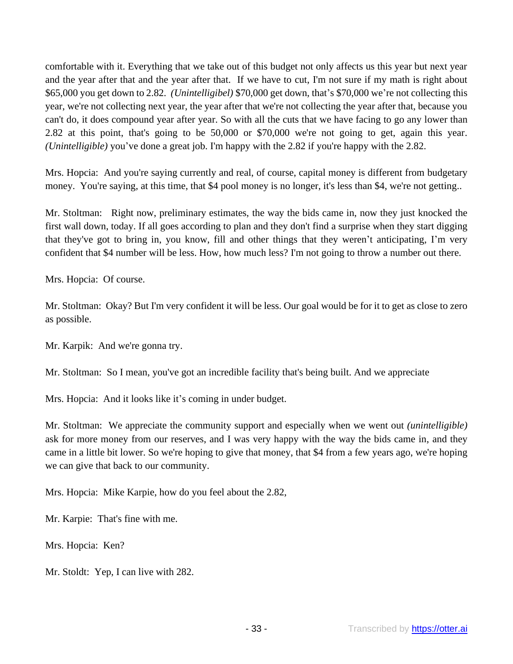comfortable with it. Everything that we take out of this budget not only affects us this year but next year and the year after that and the year after that. If we have to cut, I'm not sure if my math is right about \$65,000 you get down to 2.82. *(Unintelligibel)* \$70,000 get down, that's \$70,000 we're not collecting this year, we're not collecting next year, the year after that we're not collecting the year after that, because you can't do, it does compound year after year. So with all the cuts that we have facing to go any lower than 2.82 at this point, that's going to be 50,000 or \$70,000 we're not going to get, again this year. *(Unintelligible)* you've done a great job. I'm happy with the 2.82 if you're happy with the 2.82.

Mrs. Hopcia: And you're saying currently and real, of course, capital money is different from budgetary money. You're saying, at this time, that \$4 pool money is no longer, it's less than \$4, we're not getting...

Mr. Stoltman: Right now, preliminary estimates, the way the bids came in, now they just knocked the first wall down, today. If all goes according to plan and they don't find a surprise when they start digging that they've got to bring in, you know, fill and other things that they weren't anticipating, I'm very confident that \$4 number will be less. How, how much less? I'm not going to throw a number out there.

Mrs. Hopcia: Of course.

Mr. Stoltman: Okay? But I'm very confident it will be less. Our goal would be for it to get as close to zero as possible.

Mr. Karpik: And we're gonna try.

Mr. Stoltman: So I mean, you've got an incredible facility that's being built. And we appreciate

Mrs. Hopcia: And it looks like it's coming in under budget.

Mr. Stoltman: We appreciate the community support and especially when we went out *(unintelligible)* ask for more money from our reserves, and I was very happy with the way the bids came in, and they came in a little bit lower. So we're hoping to give that money, that \$4 from a few years ago, we're hoping we can give that back to our community.

Mrs. Hopcia: Mike Karpie, how do you feel about the 2.82,

Mr. Karpie: That's fine with me.

Mrs. Hopcia: Ken?

Mr. Stoldt: Yep, I can live with 282.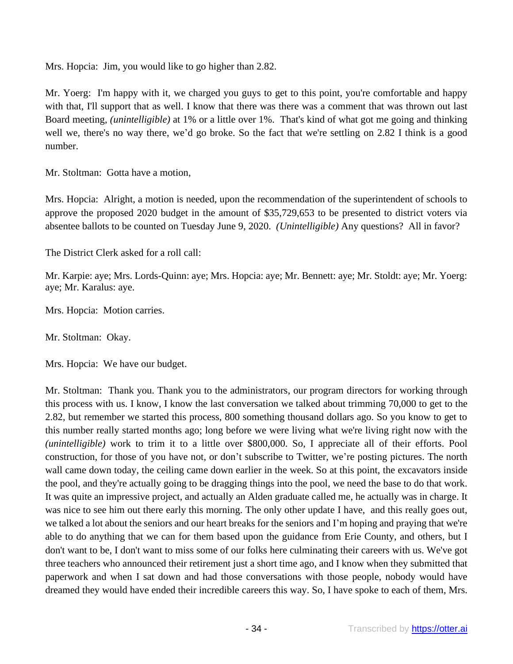Mrs. Hopcia: Jim, you would like to go higher than 2.82.

Mr. Yoerg: I'm happy with it, we charged you guys to get to this point, you're comfortable and happy with that, I'll support that as well. I know that there was there was a comment that was thrown out last Board meeting, *(unintelligible)* at 1% or a little over 1%. That's kind of what got me going and thinking well we, there's no way there, we'd go broke. So the fact that we're settling on 2.82 I think is a good number.

Mr. Stoltman: Gotta have a motion,

Mrs. Hopcia: Alright, a motion is needed, upon the recommendation of the superintendent of schools to approve the proposed 2020 budget in the amount of \$35,729,653 to be presented to district voters via absentee ballots to be counted on Tuesday June 9, 2020. *(Unintelligible)* Any questions? All in favor?

The District Clerk asked for a roll call:

Mr. Karpie: aye; Mrs. Lords-Quinn: aye; Mrs. Hopcia: aye; Mr. Bennett: aye; Mr. Stoldt: aye; Mr. Yoerg: aye; Mr. Karalus: aye.

Mrs. Hopcia: Motion carries.

Mr. Stoltman: Okay.

Mrs. Hopcia: We have our budget.

Mr. Stoltman: Thank you. Thank you to the administrators, our program directors for working through this process with us. I know, I know the last conversation we talked about trimming 70,000 to get to the 2.82, but remember we started this process, 800 something thousand dollars ago. So you know to get to this number really started months ago; long before we were living what we're living right now with the *(unintelligible)* work to trim it to a little over \$800,000. So, I appreciate all of their efforts. Pool construction, for those of you have not, or don't subscribe to Twitter, we're posting pictures. The north wall came down today, the ceiling came down earlier in the week. So at this point, the excavators inside the pool, and they're actually going to be dragging things into the pool, we need the base to do that work. It was quite an impressive project, and actually an Alden graduate called me, he actually was in charge. It was nice to see him out there early this morning. The only other update I have, and this really goes out, we talked a lot about the seniors and our heart breaks for the seniors and I'm hoping and praying that we're able to do anything that we can for them based upon the guidance from Erie County, and others, but I don't want to be, I don't want to miss some of our folks here culminating their careers with us. We've got three teachers who announced their retirement just a short time ago, and I know when they submitted that paperwork and when I sat down and had those conversations with those people, nobody would have dreamed they would have ended their incredible careers this way. So, I have spoke to each of them, Mrs.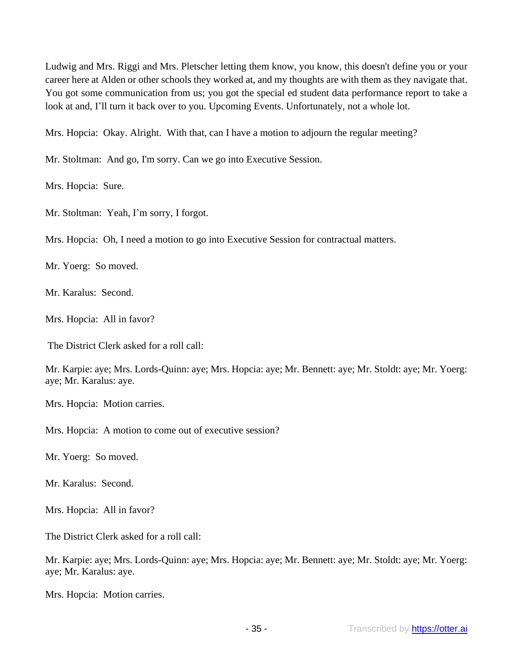Ludwig and Mrs. Riggi and Mrs. Pletscher letting them know, you know, this doesn't define you or your career here at Alden or other schools they worked at, and my thoughts are with them as they navigate that. You got some communication from us; you got the special ed student data performance report to take a look at and, I'll turn it back over to you. Upcoming Events. Unfortunately, not a whole lot.

Mrs. Hopcia: Okay. Alright. With that, can I have a motion to adjourn the regular meeting?

Mr. Stoltman: And go, I'm sorry. Can we go into Executive Session.

Mrs. Hopcia: Sure.

Mr. Stoltman: Yeah, I'm sorry, I forgot.

Mrs. Hopcia: Oh, I need a motion to go into Executive Session for contractual matters.

Mr. Yoerg: So moved.

Mr. Karalus: Second.

Mrs. Hopcia: All in favor?

The District Clerk asked for a roll call:

Mr. Karpie: aye; Mrs. Lords-Quinn: aye; Mrs. Hopcia: aye; Mr. Bennett: aye; Mr. Stoldt: aye; Mr. Yoerg: aye; Mr. Karalus: aye.

Mrs. Hopcia: Motion carries.

Mrs. Hopcia: A motion to come out of executive session?

Mr. Yoerg: So moved.

Mr. Karalus: Second.

Mrs. Hopcia: All in favor?

The District Clerk asked for a roll call:

Mr. Karpie: aye; Mrs. Lords-Quinn: aye; Mrs. Hopcia: aye; Mr. Bennett: aye; Mr. Stoldt: aye; Mr. Yoerg: aye; Mr. Karalus: aye.

Mrs. Hopcia: Motion carries.